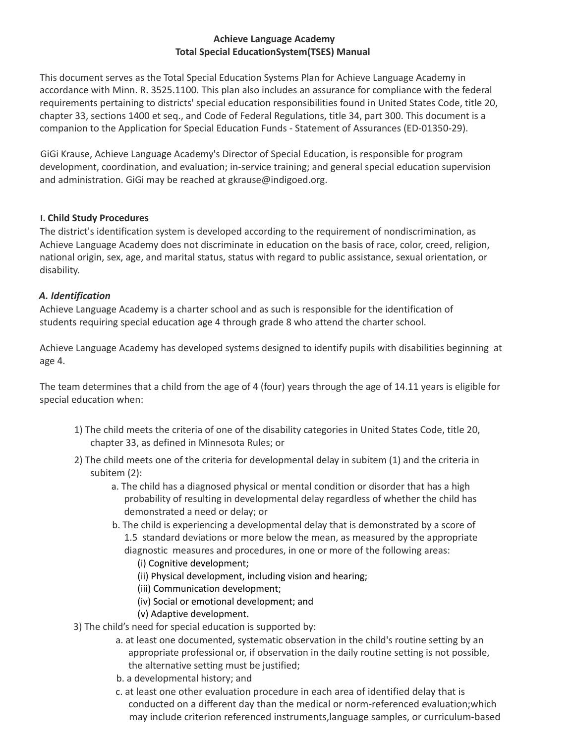## **Achieve Language Academy Total Special EducationSystem(TSES) Manual**

This document serves as the Total Special Education Systems Plan for Achieve Language Academy in accordance with Minn. R. 3525.1100. This plan also includes an assurance for compliance with the federal requirements pertaining to districts' special education responsibilities found in United States Code, title 20, chapter 33, sections 1400 et seq., and Code of Federal Regulations, title 34, part 300. This document is a companion to the Application for Special Education Funds - Statement of Assurances (ED-01350-29).

GiGi Krause, Achieve Language Academy's Director of Special Education, is responsible for program development, coordination, and evaluation; in-service training; and general special education supervision and administration. GiGi may be reached at gkrause@indigoed.org.

## **I. Child Study Procedures**

The district's identification system is developed according to the requirement of nondiscrimination, as Achieve Language Academy does not discriminate in education on the basis of race, color, creed, religion, national origin, sex, age, and marital status, status with regard to public assistance, sexual orientation, or disability.

### *A. Identification*

Achieve Language Academy is a charter school and as such is responsible for the identification of students requiring special education age 4 through grade 8 who attend the charter school.

Achieve Language Academy has developed systems designed to identify pupils with disabilities beginning at age 4.

The team determines that a child from the age of 4 (four) years through the age of 14.11 years is eligible for special education when:

- 1) The child meets the criteria of one of the disability categories in United States Code, title 20, chapter 33, as defined in Minnesota Rules; or
- 2) The child meets one of the criteria for developmental delay in subitem (1) and the criteria in subitem (2):
	- a. The child has a diagnosed physical or mental condition or disorder that has a high probability of resulting in developmental delay regardless of whether the child has demonstrated a need or delay; or
	- b. The child is experiencing a developmental delay that is demonstrated by a score of 1.5 standard deviations or more below the mean, as measured by the appropriate diagnostic measures and procedures, in one or more of the following areas:
		- (i) Cognitive development;
		- (ii) Physical development, including vision and hearing;
		- (iii) Communication development;
		- (iv) Social or emotional development; and
		- (v) Adaptive development.
- 3) The child's need for special education is supported by:
	- a. at least one documented, systematic observation in the child's routine setting by an appropriate professional or, if observation in the daily routine setting is not possible, the alternative setting must be justified;
	- b. a developmental history; and
	- c. at least one other evaluation procedure in each area of identified delay that is conducted on a different day than the medical or norm-referenced evaluation;which may include criterion referenced instruments,language samples, or curriculum-based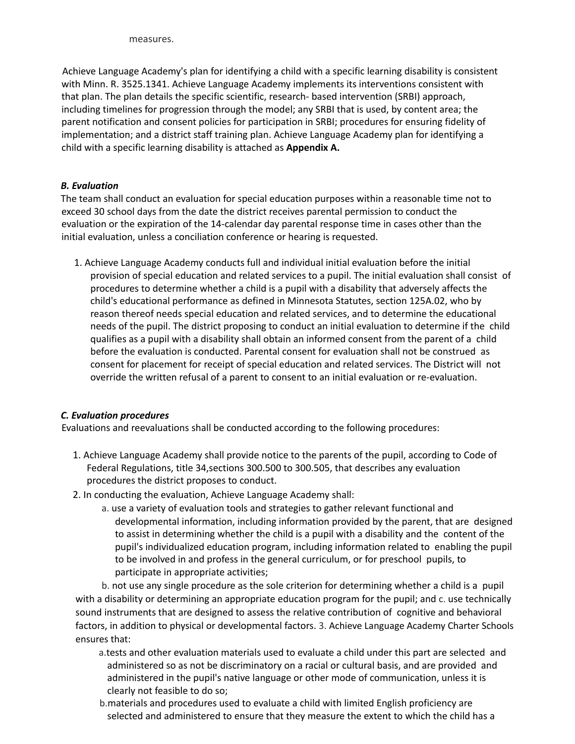measures.

Achieve Language Academy's plan for identifying a child with a specific learning disability is consistent with Minn. R. 3525.1341. Achieve Language Academy implements its interventions consistent with that plan. The plan details the specific scientific, research- based intervention (SRBI) approach, including timelines for progression through the model; any SRBI that is used, by content area; the parent notification and consent policies for participation in SRBI; procedures for ensuring fidelity of implementation; and a district staff training plan. Achieve Language Academy plan for identifying a child with a specific learning disability is attached as **Appendix A.**

## *B. Evaluation*

The team shall conduct an evaluation for special education purposes within a reasonable time not to exceed 30 school days from the date the district receives parental permission to conduct the evaluation or the expiration of the 14-calendar day parental response time in cases other than the initial evaluation, unless a conciliation conference or hearing is requested.

1. Achieve Language Academy conducts full and individual initial evaluation before the initial provision of special education and related services to a pupil. The initial evaluation shall consist of procedures to determine whether a child is a pupil with a disability that adversely affects the child's educational performance as defined in Minnesota Statutes, section 125A.02, who by reason thereof needs special education and related services, and to determine the educational needs of the pupil. The district proposing to conduct an initial evaluation to determine if the child qualifies as a pupil with a disability shall obtain an informed consent from the parent of a child before the evaluation is conducted. Parental consent for evaluation shall not be construed as consent for placement for receipt of special education and related services. The District will not override the written refusal of a parent to consent to an initial evaluation or re-evaluation.

## *C. Evaluation procedures*

Evaluations and reevaluations shall be conducted according to the following procedures:

- 1. Achieve Language Academy shall provide notice to the parents of the pupil, according to Code of Federal Regulations, title 34,sections 300.500 to 300.505, that describes any evaluation procedures the district proposes to conduct.
- 2. In conducting the evaluation, Achieve Language Academy shall:
	- a. use a variety of evaluation tools and strategies to gather relevant functional and developmental information, including information provided by the parent, that are designed to assist in determining whether the child is a pupil with a disability and the content of the pupil's individualized education program, including information related to enabling the pupil to be involved in and profess in the general curriculum, or for preschool pupils, to participate in appropriate activities;

b. not use any single procedure as the sole criterion for determining whether a child is a pupil with a disability or determining an appropriate education program for the pupil; and c. use technically sound instruments that are designed to assess the relative contribution of cognitive and behavioral factors, in addition to physical or developmental factors. 3. Achieve Language Academy Charter Schools ensures that:

- a.tests and other evaluation materials used to evaluate a child under this part are selected and administered so as not be discriminatory on a racial or cultural basis, and are provided and administered in the pupil's native language or other mode of communication, unless it is clearly not feasible to do so;
- b.materials and procedures used to evaluate a child with limited English proficiency are selected and administered to ensure that they measure the extent to which the child has a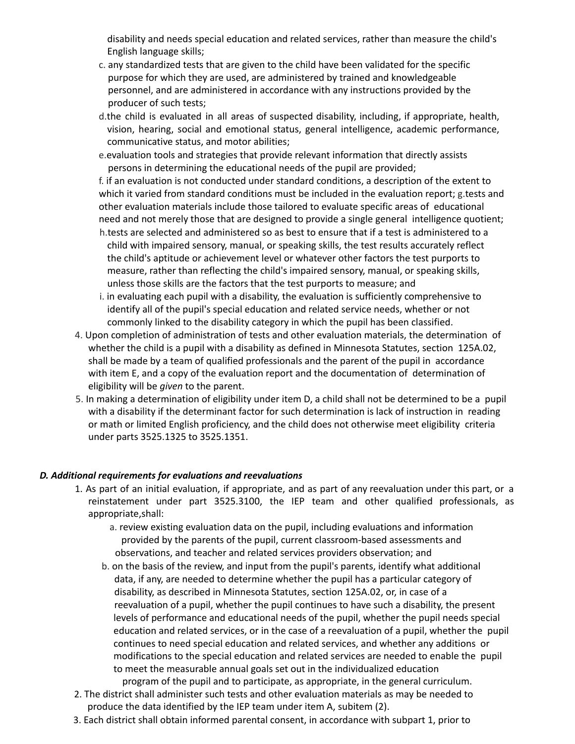disability and needs special education and related services, rather than measure the child's English language skills;

- c. any standardized tests that are given to the child have been validated for the specific purpose for which they are used, are administered by trained and knowledgeable personnel, and are administered in accordance with any instructions provided by the producer of such tests;
- d.the child is evaluated in all areas of suspected disability, including, if appropriate, health, vision, hearing, social and emotional status, general intelligence, academic performance, communicative status, and motor abilities;
- e.evaluation tools and strategies that provide relevant information that directly assists persons in determining the educational needs of the pupil are provided;

f. if an evaluation is not conducted under standard conditions, a description of the extent to which it varied from standard conditions must be included in the evaluation report; g.tests and other evaluation materials include those tailored to evaluate specific areas of educational need and not merely those that are designed to provide a single general intelligence quotient;

- h.tests are selected and administered so as best to ensure that if a test is administered to a child with impaired sensory, manual, or speaking skills, the test results accurately reflect the child's aptitude or achievement level or whatever other factors the test purports to measure, rather than reflecting the child's impaired sensory, manual, or speaking skills, unless those skills are the factors that the test purports to measure; and
- i. in evaluating each pupil with a disability, the evaluation is sufficiently comprehensive to identify all of the pupil's special education and related service needs, whether or not commonly linked to the disability category in which the pupil has been classified.
- 4. Upon completion of administration of tests and other evaluation materials, the determination of whether the child is a pupil with a disability as defined in Minnesota Statutes, section 125A.02, shall be made by a team of qualified professionals and the parent of the pupil in accordance with item E, and a copy of the evaluation report and the documentation of determination of eligibility will be *given* to the parent.
- 5. In making a determination of eligibility under item D, a child shall not be determined to be a pupil with a disability if the determinant factor for such determination is lack of instruction in reading or math or limited English proficiency, and the child does not otherwise meet eligibility criteria under parts 3525.1325 to 3525.1351.

#### *D. Additional requirements for evaluations and reevaluations*

- 1. As part of an initial evaluation, if appropriate, and as part of any reevaluation under this part, or a reinstatement under part 3525.3100, the IEP team and other qualified professionals, as appropriate,shall:
	- a. review existing evaluation data on the pupil, including evaluations and information provided by the parents of the pupil, current classroom-based assessments and observations, and teacher and related services providers observation; and
	- b. on the basis of the review, and input from the pupil's parents, identify what additional data, if any, are needed to determine whether the pupil has a particular category of disability, as described in Minnesota Statutes, section 125A.02, or, in case of a reevaluation of a pupil, whether the pupil continues to have such a disability, the present levels of performance and educational needs of the pupil, whether the pupil needs special education and related services, or in the case of a reevaluation of a pupil, whether the pupil continues to need special education and related services, and whether any additions or modifications to the special education and related services are needed to enable the pupil to meet the measurable annual goals set out in the individualized education
- program of the pupil and to participate, as appropriate, in the general curriculum. 2. The district shall administer such tests and other evaluation materials as may be needed to produce the data identified by the IEP team under item A, subitem (2).
- 3. Each district shall obtain informed parental consent, in accordance with subpart 1, prior to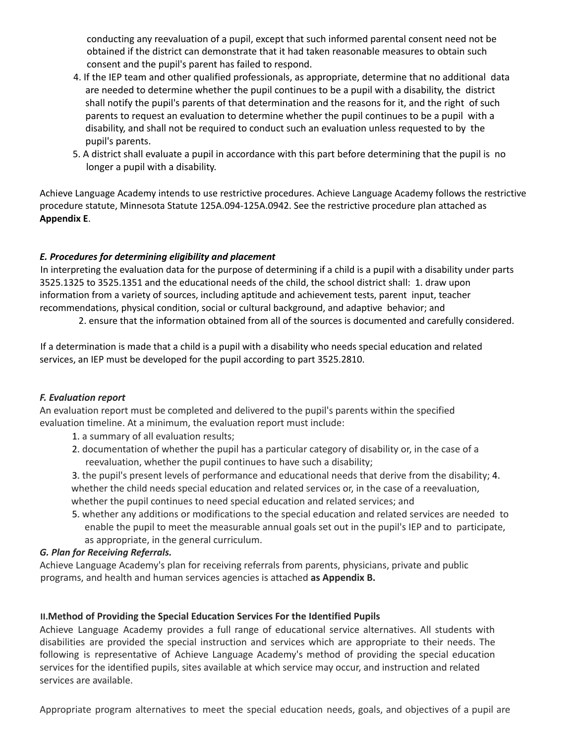conducting any reevaluation of a pupil, except that such informed parental consent need not be obtained if the district can demonstrate that it had taken reasonable measures to obtain such consent and the pupil's parent has failed to respond.

- 4. If the IEP team and other qualified professionals, as appropriate, determine that no additional data are needed to determine whether the pupil continues to be a pupil with a disability, the district shall notify the pupil's parents of that determination and the reasons for it, and the right of such parents to request an evaluation to determine whether the pupil continues to be a pupil with a disability, and shall not be required to conduct such an evaluation unless requested to by the pupil's parents.
- 5. A district shall evaluate a pupil in accordance with this part before determining that the pupil is no longer a pupil with a disability.

Achieve Language Academy intends to use restrictive procedures. Achieve Language Academy follows the restrictive procedure statute, Minnesota Statute 125A.094-125A.0942. See the restrictive procedure plan attached as **Appendix E**.

## *E. Procedures for determining eligibility and placement*

In interpreting the evaluation data for the purpose of determining if a child is a pupil with a disability under parts 3525.1325 to 3525.1351 and the educational needs of the child, the school district shall: 1. draw upon information from a variety of sources, including aptitude and achievement tests, parent input, teacher recommendations, physical condition, social or cultural background, and adaptive behavior; and

2. ensure that the information obtained from all of the sources is documented and carefully considered.

If a determination is made that a child is a pupil with a disability who needs special education and related services, an IEP must be developed for the pupil according to part 3525.2810.

## *F. Evaluation report*

An evaluation report must be completed and delivered to the pupil's parents within the specified evaluation timeline. At a minimum, the evaluation report must include:

- 1. a summary of all evaluation results;
- 2. documentation of whether the pupil has a particular category of disability or, in the case of a reevaluation, whether the pupil continues to have such a disability;
- 3. the pupil's present levels of performance and educational needs that derive from the disability; 4. whether the child needs special education and related services or, in the case of a reevaluation, whether the pupil continues to need special education and related services; and
- 5. whether any additions or modifications to the special education and related services are needed to enable the pupil to meet the measurable annual goals set out in the pupil's IEP and to participate, as appropriate, in the general curriculum.

## *G. Plan for Receiving Referrals.*

Achieve Language Academy's plan for receiving referrals from parents, physicians, private and public programs, and health and human services agencies is attached **as Appendix B.**

## **II.Method of Providing the Special Education Services For the Identified Pupils**

Achieve Language Academy provides a full range of educational service alternatives. All students with disabilities are provided the special instruction and services which are appropriate to their needs. The following is representative of Achieve Language Academy's method of providing the special education services for the identified pupils, sites available at which service may occur, and instruction and related services are available.

Appropriate program alternatives to meet the special education needs, goals, and objectives of a pupil are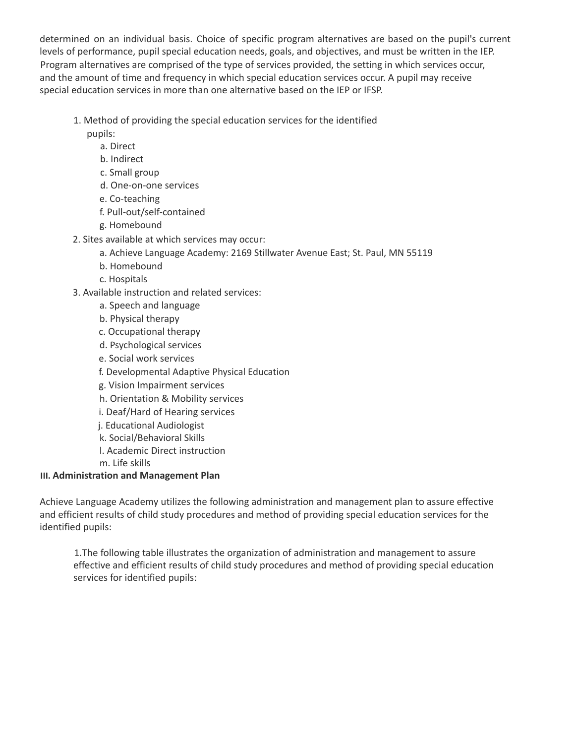determined on an individual basis. Choice of specific program alternatives are based on the pupil's current levels of performance, pupil special education needs, goals, and objectives, and must be written in the IEP. Program alternatives are comprised of the type of services provided, the setting in which services occur, and the amount of time and frequency in which special education services occur. A pupil may receive special education services in more than one alternative based on the IEP or IFSP.

- 1. Method of providing the special education services for the identified
	- pupils:
		- a. Direct
		- b. Indirect
		- c. Small group
		- d. One-on-one services
		- e. Co-teaching
		- f. Pull-out/self-contained
		- g. Homebound
- 2. Sites available at which services may occur:
	- a. Achieve Language Academy: 2169 Stillwater Avenue East; St. Paul, MN 55119
	- b. Homebound
	- c. Hospitals
- 3. Available instruction and related services:
	- a. Speech and language
	- b. Physical therapy
	- c. Occupational therapy
	- d. Psychological services
	- e. Social work services
	- f. Developmental Adaptive Physical Education
	- g. Vision Impairment services
	- h. Orientation & Mobility services
	- i. Deaf/Hard of Hearing services
	- j. Educational Audiologist
	- k. Social/Behavioral Skills
	- l. Academic Direct instruction
	- m. Life skills

# **III. Administration and Management Plan**

Achieve Language Academy utilizes the following administration and management plan to assure effective and efficient results of child study procedures and method of providing special education services for the identified pupils:

1.The following table illustrates the organization of administration and management to assure effective and efficient results of child study procedures and method of providing special education services for identified pupils: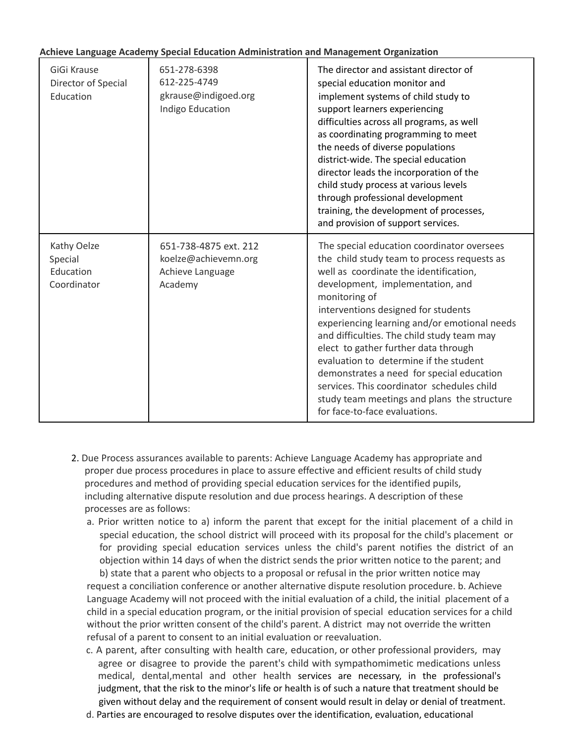#### **Achieve Language Academy Special Education Administration and Management Organization**

| GiGi Krause<br>Director of Special<br>Education    | 651-278-6398<br>612-225-4749<br>gkrause@indigoed.org<br>Indigo Education     | The director and assistant director of<br>special education monitor and<br>implement systems of child study to<br>support learners experiencing<br>difficulties across all programs, as well<br>as coordinating programming to meet<br>the needs of diverse populations<br>district-wide. The special education<br>director leads the incorporation of the<br>child study process at various levels<br>through professional development<br>training, the development of processes,<br>and provision of support services.                                                                   |
|----------------------------------------------------|------------------------------------------------------------------------------|--------------------------------------------------------------------------------------------------------------------------------------------------------------------------------------------------------------------------------------------------------------------------------------------------------------------------------------------------------------------------------------------------------------------------------------------------------------------------------------------------------------------------------------------------------------------------------------------|
| Kathy Oelze<br>Special<br>Education<br>Coordinator | 651-738-4875 ext. 212<br>koelze@achievemn.org<br>Achieve Language<br>Academy | The special education coordinator oversees<br>the child study team to process requests as<br>well as coordinate the identification,<br>development, implementation, and<br>monitoring of<br>interventions designed for students<br>experiencing learning and/or emotional needs<br>and difficulties. The child study team may<br>elect to gather further data through<br>evaluation to determine if the student<br>demonstrates a need for special education<br>services. This coordinator schedules child<br>study team meetings and plans the structure<br>for face-to-face evaluations. |

- 2. Due Process assurances available to parents: Achieve Language Academy has appropriate and proper due process procedures in place to assure effective and efficient results of child study procedures and method of providing special education services for the identified pupils, including alternative dispute resolution and due process hearings. A description of these processes are as follows:
	- a. Prior written notice to a) inform the parent that except for the initial placement of a child in special education, the school district will proceed with its proposal for the child's placement or for providing special education services unless the child's parent notifies the district of an objection within 14 days of when the district sends the prior written notice to the parent; and b) state that a parent who objects to a proposal or refusal in the prior written notice may

request a conciliation conference or another alternative dispute resolution procedure. b. Achieve Language Academy will not proceed with the initial evaluation of a child, the initial placement of a child in a special education program, or the initial provision of special education services for a child without the prior written consent of the child's parent. A district may not override the written refusal of a parent to consent to an initial evaluation or reevaluation.

- c. A parent, after consulting with health care, education, or other professional providers, may agree or disagree to provide the parent's child with sympathomimetic medications unless medical, dental,mental and other health services are necessary, in the professional's judgment, that the risk to the minor's life or health is of such a nature that treatment should be given without delay and the requirement of consent would result in delay or denial of treatment.
- d. Parties are encouraged to resolve disputes over the identification, evaluation, educational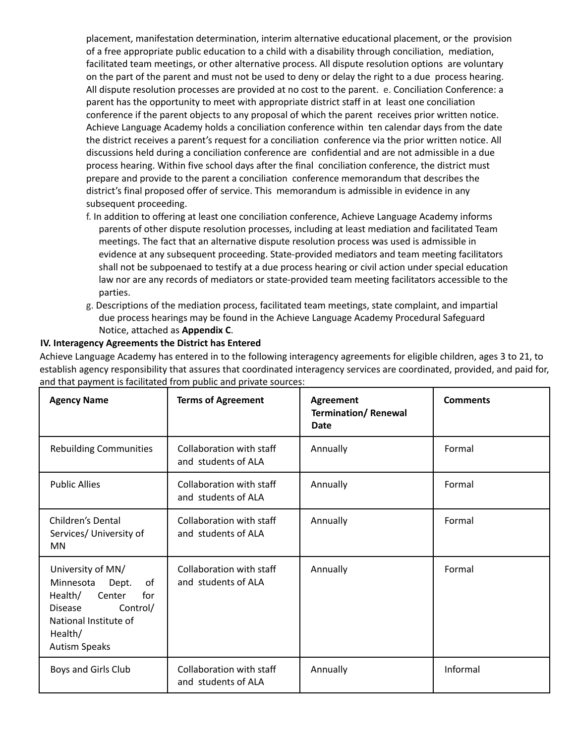placement, manifestation determination, interim alternative educational placement, or the provision of a free appropriate public education to a child with a disability through conciliation, mediation, facilitated team meetings, or other alternative process. All dispute resolution options are voluntary on the part of the parent and must not be used to deny or delay the right to a due process hearing. All dispute resolution processes are provided at no cost to the parent. e. Conciliation Conference: a parent has the opportunity to meet with appropriate district staff in at least one conciliation conference if the parent objects to any proposal of which the parent receives prior written notice. Achieve Language Academy holds a conciliation conference within ten calendar days from the date the district receives a parent's request for a conciliation conference via the prior written notice. All discussions held during a conciliation conference are confidential and are not admissible in a due process hearing. Within five school days after the final conciliation conference, the district must prepare and provide to the parent a conciliation conference memorandum that describes the district's final proposed offer of service. This memorandum is admissible in evidence in any subsequent proceeding.

- f. In addition to offering at least one conciliation conference, Achieve Language Academy informs parents of other dispute resolution processes, including at least mediation and facilitated Team meetings. The fact that an alternative dispute resolution process was used is admissible in evidence at any subsequent proceeding. State-provided mediators and team meeting facilitators shall not be subpoenaed to testify at a due process hearing or civil action under special education law nor are any records of mediators or state-provided team meeting facilitators accessible to the parties.
- g. Descriptions of the mediation process, facilitated team meetings, state complaint, and impartial due process hearings may be found in the Achieve Language Academy Procedural Safeguard Notice, attached as **Appendix C**.

## **IV. Interagency Agreements the District has Entered**

Achieve Language Academy has entered in to the following interagency agreements for eligible children, ages 3 to 21, to establish agency responsibility that assures that coordinated interagency services are coordinated, provided, and paid for, and that payment is facilitated from public and private sources:

| <b>Agency Name</b>                                                                                                                                                  | <b>Terms of Agreement</b>                       | <b>Agreement</b><br><b>Termination/ Renewal</b><br>Date | <b>Comments</b> |
|---------------------------------------------------------------------------------------------------------------------------------------------------------------------|-------------------------------------------------|---------------------------------------------------------|-----------------|
| <b>Rebuilding Communities</b>                                                                                                                                       | Collaboration with staff<br>and students of ALA | Annually                                                | Formal          |
| <b>Public Allies</b>                                                                                                                                                | Collaboration with staff<br>and students of ALA | Annually                                                | Formal          |
| Children's Dental<br>Services/ University of<br>MN                                                                                                                  | Collaboration with staff<br>and students of ALA | Annually                                                | Formal          |
| University of MN/<br>Dept.<br>Minnesota<br>of<br>for<br>Health/<br>Center<br>Control/<br><b>Disease</b><br>National Institute of<br>Health/<br><b>Autism Speaks</b> | Collaboration with staff<br>and students of ALA | Annually                                                | Formal          |
| Boys and Girls Club                                                                                                                                                 | Collaboration with staff<br>and students of ALA | Annually                                                | Informal        |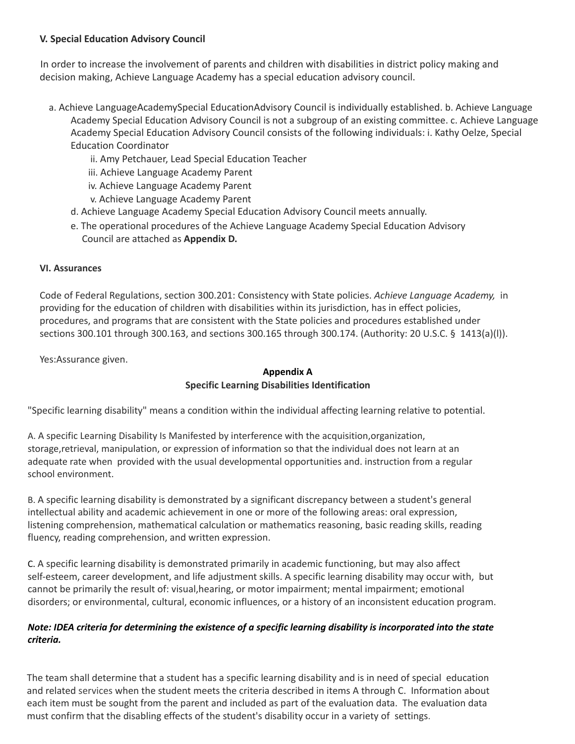## **V. Special Education Advisory Council**

In order to increase the involvement of parents and children with disabilities in district policy making and decision making, Achieve Language Academy has a special education advisory council.

- a. Achieve LanguageAcademySpecial EducationAdvisory Council is individually established. b. Achieve Language Academy Special Education Advisory Council is not a subgroup of an existing committee. c. Achieve Language Academy Special Education Advisory Council consists of the following individuals: i. Kathy Oelze, Special Education Coordinator
	- ii. Amy Petchauer, Lead Special Education Teacher
	- iii. Achieve Language Academy Parent
	- iv. Achieve Language Academy Parent
	- v. Achieve Language Academy Parent
	- d. Achieve Language Academy Special Education Advisory Council meets annually.
	- e. The operational procedures of the Achieve Language Academy Special Education Advisory Council are attached as **Appendix D.**

## **VI. Assurances**

Code of Federal Regulations, section 300.201: Consistency with State policies. *Achieve Language Academy,* in providing for the education of children with disabilities within its jurisdiction, has in effect policies, procedures, and programs that are consistent with the State policies and procedures established under sections 300.101 through 300.163, and sections 300.165 through 300.174. (Authority: 20 U.S.C. § 1413(a)(l)).

Yes:Assurance given.

## **Appendix A Specific Learning Disabilities Identification**

"Specific learning disability" means a condition within the individual affecting learning relative to potential.

A. A specific Learning Disability Is Manifested by interference with the acquisition,organization, storage,retrieval, manipulation, or expression of information so that the individual does not learn at an adequate rate when provided with the usual developmental opportunities and. instruction from a regular school environment.

B. A specific learning disability is demonstrated by a significant discrepancy between a student's general intellectual ability and academic achievement in one or more of the following areas: oral expression, listening comprehension, mathematical calculation or mathematics reasoning, basic reading skills, reading fluency, reading comprehension, and written expression.

C. A specific learning disability is demonstrated primarily in academic functioning, but may also affect self-esteem, career development, and life adjustment skills. A specific learning disability may occur with, but cannot be primarily the result of: visual,hearing, or motor impairment; mental impairment; emotional disorders; or environmental, cultural, economic influences, or a history of an inconsistent education program.

## Note: IDEA criteria for determining the existence of a specific learning disability is incorporated into the state *criteria.*

The team shall determine that a student has a specific learning disability and is in need of special education and related services when the student meets the criteria described in items A through C. Information about each item must be sought from the parent and included as part of the evaluation data. The evaluation data must confirm that the disabling effects of the student's disability occur in a variety of settings.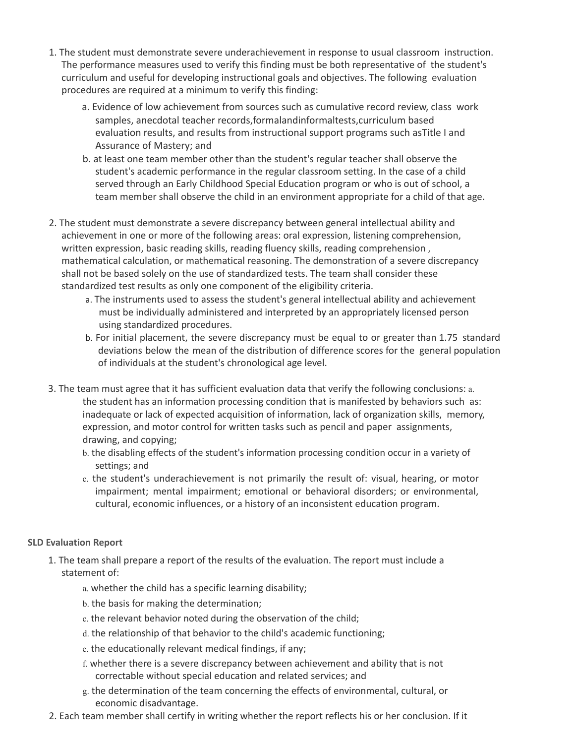- 1. The student must demonstrate severe underachievement in response to usual classroom instruction. The performance measures used to verify this finding must be both representative of the student's curriculum and useful for developing instructional goals and objectives. The following evaluation procedures are required at a minimum to verify this finding:
	- a. Evidence of low achievement from sources such as cumulative record review, class work samples, anecdotal teacher records,formalandinformaltests,curriculum based evaluation results, and results from instructional support programs such asTitle I and Assurance of Mastery; and
	- b. at least one team member other than the student's regular teacher shall observe the student's academic performance in the regular classroom setting. In the case of a child served through an Early Childhood Special Education program or who is out of school, a team member shall observe the child in an environment appropriate for a child of that age.
- 2. The student must demonstrate a severe discrepancy between general intellectual ability and achievement in one or more of the following areas: oral expression, listening comprehension, written expression, basic reading skills, reading fluency skills, reading comprehension , mathematical calculation, or mathematical reasoning. The demonstration of a severe discrepancy shall not be based solely on the use of standardized tests. The team shall consider these standardized test results as only one component of the eligibility criteria.
	- a. The instruments used to assess the student's general intellectual ability and achievement must be individually administered and interpreted by an appropriately licensed person using standardized procedures.
	- b. For initial placement, the severe discrepancy must be equal to or greater than 1.75 standard deviations below the mean of the distribution of difference scores for the general population of individuals at the student's chronological age level.
- 3. The team must agree that it has sufficient evaluation data that verify the following conclusions: a. the student has an information processing condition that is manifested by behaviors such as: inadequate or lack of expected acquisition of information, lack of organization skills, memory, expression, and motor control for written tasks such as pencil and paper assignments, drawing, and copying;
	- b. the disabling effects of the student's information processing condition occur in a variety of settings; and
	- c. the student's underachievement is not primarily the result of: visual, hearing, or motor impairment; mental impairment; emotional or behavioral disorders; or environmental, cultural, economic influences, or a history of an inconsistent education program.

## **SLD Evaluation Report**

- 1. The team shall prepare a report of the results of the evaluation. The report must include a statement of:
	- a. whether the child has a specific learning disability;
	- b. the basis for making the determination;
	- c. the relevant behavior noted during the observation of the child;
	- d. the relationship of that behavior to the child's academic functioning;
	- e. the educationally relevant medical findings, if any;
	- f. whether there is a severe discrepancy between achievement and ability that is not correctable without special education and related services; and
	- g. the determination of the team concerning the effects of environmental, cultural, or economic disadvantage.
- 2. Each team member shall certify in writing whether the report reflects his or her conclusion. If it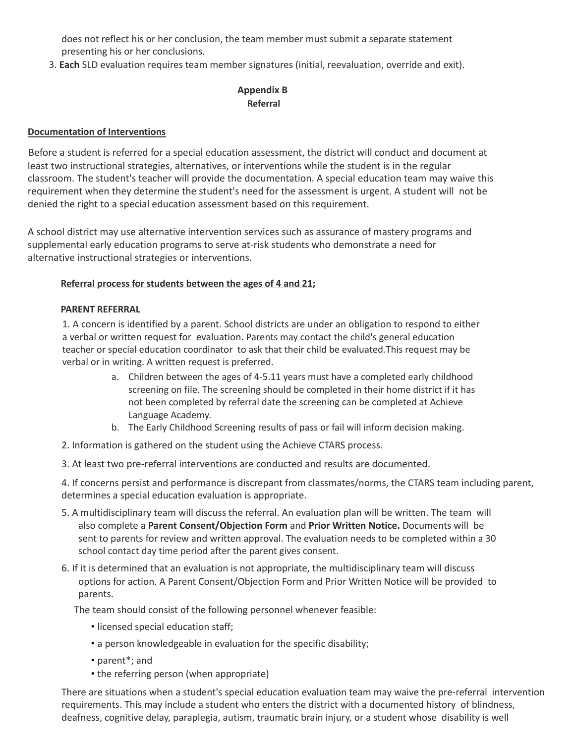does not reflect his or her conclusion, the team member must submit a separate statement presenting his or her conclusions.

3. **Each** SLD evaluation requires team member signatures (initial, reevaluation, override and exit).

## **Appendix B Referral**

## **Documentation of Interventions**

Before a student is referred for a special education assessment, the district will conduct and document at least two instructional strategies, alternatives, or interventions while the student is in the regular classroom. The student's teacher will provide the documentation. A special education team may waive this requirement when they determine the student's need for the assessment is urgent. A student will not be denied the right to a special education assessment based on this requirement.

A school district may use alternative intervention services such as assurance of mastery programs and supplemental early education programs to serve at-risk students who demonstrate a need for alternative instructional strategies or interventions.

## **Referral process for students between the ages of 4 and 21;**

## **PARENT REFERRAL**

1. A concern is identified by a parent. School districts are under an obligation to respond to either a verbal or written request for evaluation. Parents may contact the child's general education teacher or special education coordinator to ask that their child be evaluated.This request may be verbal or in writing. A written request is preferred.

- a. Children between the ages of 4-5.11 years must have a completed early childhood screening on file. The screening should be completed in their home district if it has not been completed by referral date the screening can be completed at Achieve Language Academy.
- b. The Early Childhood Screening results of pass or fail will inform decision making.
- 2. Information is gathered on the student using the Achieve CTARS process.
- 3. At least two pre-referral interventions are conducted and results are documented.

4. If concerns persist and performance is discrepant from classmates/norms, the CTARS team including parent, determines a special education evaluation is appropriate.

- 5. A multidisciplinary team will discuss the referral. An evaluation plan will be written. The team will also complete a **Parent Consent/Objection Form** and **Prior Written Notice.** Documents will be sent to parents for review and written approval. The evaluation needs to be completed within a 30 school contact day time period after the parent gives consent.
- 6. If it is determined that an evaluation is not appropriate, the multidisciplinary team will discuss options for action. A Parent Consent/Objection Form and Prior Written Notice will be provided to parents.

The team should consist of the following personnel whenever feasible:

- licensed special education staff;
- a person knowledgeable in evaluation for the specific disability;
- parent\*; and
- the referring person (when appropriate)

There are situations when a student's special education evaluation team may waive the pre-referral intervention requirements. This may include a student who enters the district with a documented history of blindness, deafness, cognitive delay, paraplegia, autism, traumatic brain injury, or a student whose disability is well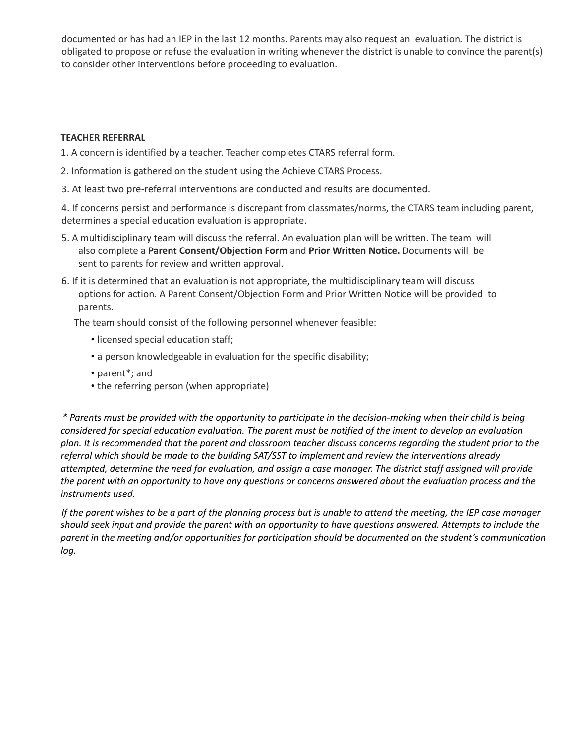documented or has had an IEP in the last 12 months. Parents may also request an evaluation. The district is obligated to propose or refuse the evaluation in writing whenever the district is unable to convince the parent(s) to consider other interventions before proceeding to evaluation.

### **TEACHER REFERRAL**

- 1. A concern is identified by a teacher. Teacher completes CTARS referral form.
- 2. Information is gathered on the student using the Achieve CTARS Process.
- 3. At least two pre-referral interventions are conducted and results are documented.

4. If concerns persist and performance is discrepant from classmates/norms, the CTARS team including parent, determines a special education evaluation is appropriate.

- 5. A multidisciplinary team will discuss the referral. An evaluation plan will be written. The team will also complete a **Parent Consent/Objection Form** and **Prior Written Notice.** Documents will be sent to parents for review and written approval.
- 6. If it is determined that an evaluation is not appropriate, the multidisciplinary team will discuss options for action. A Parent Consent/Objection Form and Prior Written Notice will be provided to parents.

The team should consist of the following personnel whenever feasible:

- licensed special education staff;
- a person knowledgeable in evaluation for the specific disability;
- parent\*; and
- the referring person (when appropriate)

\* Parents must be provided with the opportunity to participate in the decision-making when their child is being considered for special education evaluation. The parent must be notified of the intent to develop an evaluation plan. It is recommended that the parent and classroom teacher discuss concerns regarding the student prior to the *referral which should be made to the building SAT/SST to implement and review the interventions already* attempted, determine the need for evaluation, and assign a case manager. The district staff assigned will provide the parent with an opportunity to have any questions or concerns answered about the evaluation process and the *instruments used.*

If the parent wishes to be a part of the planning process but is unable to attend the meeting, the IEP case manager should seek input and provide the parent with an opportunity to have questions answered. Attempts to include the *parent in the meeting and/or opportunities for participation should be documented on the student's communication log.*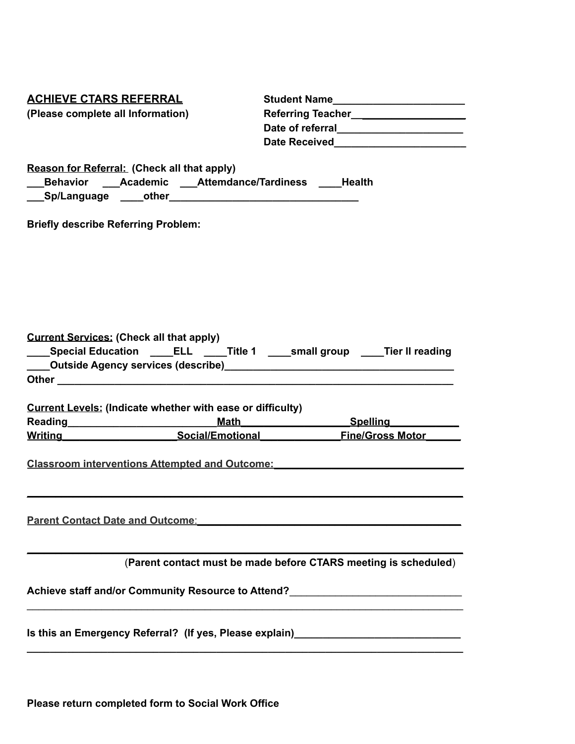| <b>ACHIEVE CTARS REFERRAL</b>              |                                                                                            | Student Name________________________                                                                                                                                                         |  |  |
|--------------------------------------------|--------------------------------------------------------------------------------------------|----------------------------------------------------------------------------------------------------------------------------------------------------------------------------------------------|--|--|
| (Please complete all Information)          |                                                                                            | Referring Teacher_____________________                                                                                                                                                       |  |  |
|                                            |                                                                                            | Date of referral_______________________                                                                                                                                                      |  |  |
|                                            |                                                                                            | Date Received <b>Exercise Services CONSUMER</b>                                                                                                                                              |  |  |
|                                            |                                                                                            |                                                                                                                                                                                              |  |  |
|                                            | Reason for Referral: (Check all that apply)                                                |                                                                                                                                                                                              |  |  |
|                                            | Behavior Academic Attemdance/Tardiness Health                                              |                                                                                                                                                                                              |  |  |
|                                            |                                                                                            |                                                                                                                                                                                              |  |  |
| <b>Briefly describe Referring Problem:</b> |                                                                                            |                                                                                                                                                                                              |  |  |
|                                            |                                                                                            |                                                                                                                                                                                              |  |  |
|                                            |                                                                                            |                                                                                                                                                                                              |  |  |
|                                            |                                                                                            |                                                                                                                                                                                              |  |  |
|                                            |                                                                                            |                                                                                                                                                                                              |  |  |
|                                            |                                                                                            |                                                                                                                                                                                              |  |  |
|                                            |                                                                                            |                                                                                                                                                                                              |  |  |
|                                            | <b>Current Services: (Check all that apply)</b>                                            |                                                                                                                                                                                              |  |  |
|                                            |                                                                                            | ____Special Education _____ELL _____Title 1 _____small group _____Tier II reading                                                                                                            |  |  |
|                                            |                                                                                            |                                                                                                                                                                                              |  |  |
|                                            |                                                                                            |                                                                                                                                                                                              |  |  |
|                                            |                                                                                            |                                                                                                                                                                                              |  |  |
|                                            | <b>Current Levels: (Indicate whether with ease or difficulty)</b>                          |                                                                                                                                                                                              |  |  |
|                                            |                                                                                            | Math Spelling Math                                                                                                                                                                           |  |  |
|                                            |                                                                                            | Writing Motor Social/Emotional Fine/Gross Motor                                                                                                                                              |  |  |
|                                            |                                                                                            |                                                                                                                                                                                              |  |  |
|                                            |                                                                                            | <b>Classroom interventions Attempted and Outcome: EXECUTE: PHOTO: PHOTO: PHOTO: PHOTO: PHOTO: PHOTO: PHOTO: PHOTO: PHOTO: PHOTO: PHOTO: PHOTO: PHOTO: PHOTO: PHOTO: PHOTO: PHOTO: PHOTO:</b> |  |  |
|                                            |                                                                                            |                                                                                                                                                                                              |  |  |
|                                            |                                                                                            |                                                                                                                                                                                              |  |  |
|                                            |                                                                                            |                                                                                                                                                                                              |  |  |
|                                            | <u>Parent Contact Date and Outcome:</u> No. 2014 12:00:00 Parent Contact Date and Outcome: |                                                                                                                                                                                              |  |  |
|                                            |                                                                                            |                                                                                                                                                                                              |  |  |
|                                            |                                                                                            | (Parent contact must be made before CTARS meeting is scheduled)                                                                                                                              |  |  |
|                                            |                                                                                            |                                                                                                                                                                                              |  |  |
|                                            |                                                                                            | Achieve staff and/or Community Resource to Attend?______________________________                                                                                                             |  |  |
|                                            |                                                                                            |                                                                                                                                                                                              |  |  |
|                                            |                                                                                            |                                                                                                                                                                                              |  |  |
|                                            |                                                                                            | Is this an Emergency Referral? (If yes, Please explain)                                                                                                                                      |  |  |
|                                            |                                                                                            |                                                                                                                                                                                              |  |  |

**Please return completed form to Social Work Office**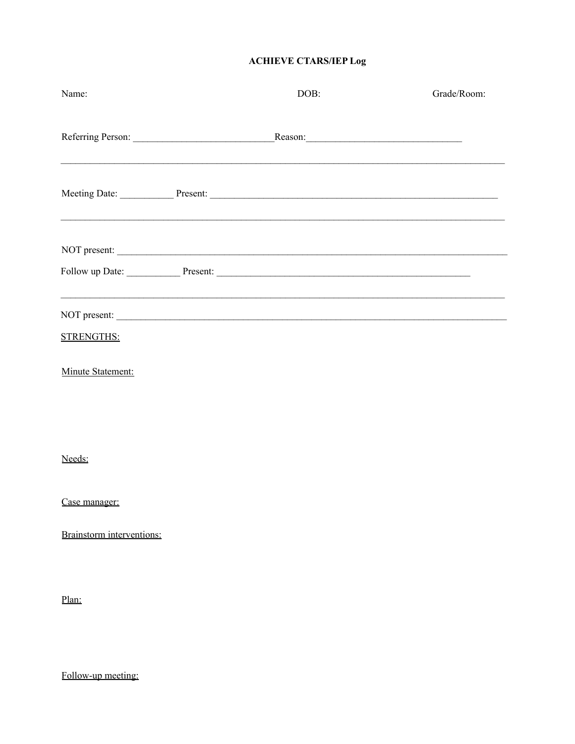## **ACHIEVE CTARS/IEP Log**

| Name:                                  | DOB:                                              | Grade/Room: |
|----------------------------------------|---------------------------------------------------|-------------|
|                                        |                                                   |             |
|                                        | Meeting Date: Present: Present:                   |             |
|                                        | NOT present:<br>Follow up Date: Present: Present: |             |
|                                        |                                                   |             |
| <b>STRENGTHS:</b><br>Minute Statement: |                                                   |             |
|                                        |                                                   |             |
| Needs:<br>Case manager:                |                                                   |             |
| Brainstorm interventions:              |                                                   |             |
| Plan:                                  |                                                   |             |

Follow-up meeting: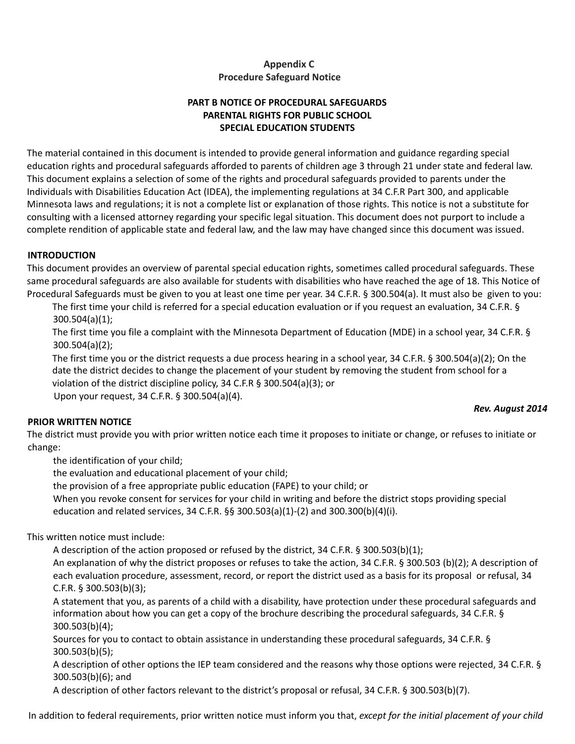## **Appendix C Procedure Safeguard Notice**

## **PART B NOTICE OF PROCEDURAL SAFEGUARDS PARENTAL RIGHTS FOR PUBLIC SCHOOL SPECIAL EDUCATION STUDENTS**

The material contained in this document is intended to provide general information and guidance regarding special education rights and procedural safeguards afforded to parents of children age 3 through 21 under state and federal law. This document explains a selection of some of the rights and procedural safeguards provided to parents under the Individuals with Disabilities Education Act (IDEA), the implementing regulations at 34 C.F.R Part 300, and applicable Minnesota laws and regulations; it is not a complete list or explanation of those rights. This notice is not a substitute for consulting with a licensed attorney regarding your specific legal situation. This document does not purport to include a complete rendition of applicable state and federal law, and the law may have changed since this document was issued.

### **INTRODUCTION**

This document provides an overview of parental special education rights, sometimes called procedural safeguards. These same procedural safeguards are also available for students with disabilities who have reached the age of 18. This Notice of Procedural Safeguards must be given to you at least one time per year. 34 C.F.R. § 300.504(a). It must also be given to you:

The first time your child is referred for a special education evaluation or if you request an evaluation, 34 C.F.R. § 300.504(a)(1);

The first time you file a complaint with the Minnesota Department of Education (MDE) in a school year, 34 C.F.R. § 300.504(a)(2);

The first time you or the district requests a due process hearing in a school year, 34 C.F.R. § 300.504(a)(2); On the date the district decides to change the placement of your student by removing the student from school for a violation of the district discipline policy, 34 C.F.R § 300.504(a)(3); or

Upon your request, 34 C.F.R. § 300.504(a)(4).

#### *Rev. August 2014*

## **PRIOR WRITTEN NOTICE**

The district must provide you with prior written notice each time it proposes to initiate or change, or refuses to initiate or change:

the identification of your child;

the evaluation and educational placement of your child;

the provision of a free appropriate public education (FAPE) to your child; or

When you revoke consent for services for your child in writing and before the district stops providing special education and related services, 34 C.F.R. §§ 300.503(a)(1)-(2) and 300.300(b)(4)(i).

This written notice must include:

A description of the action proposed or refused by the district, 34 C.F.R. § 300.503(b)(1);

An explanation of why the district proposes or refuses to take the action, 34 C.F.R. § 300.503 (b)(2); A description of each evaluation procedure, assessment, record, or report the district used as a basis for its proposal or refusal, 34 C.F.R. § 300.503(b)(3);

A statement that you, as parents of a child with a disability, have protection under these procedural safeguards and information about how you can get a copy of the brochure describing the procedural safeguards, 34 C.F.R. § 300.503(b)(4);

Sources for you to contact to obtain assistance in understanding these procedural safeguards, 34 C.F.R. § 300.503(b)(5);

A description of other options the IEP team considered and the reasons why those options were rejected, 34 C.F.R. § 300.503(b)(6); and

A description of other factors relevant to the district's proposal or refusal, 34 C.F.R. § 300.503(b)(7).

In addition to federal requirements, prior written notice must inform you that, *except for the initial placement of your child*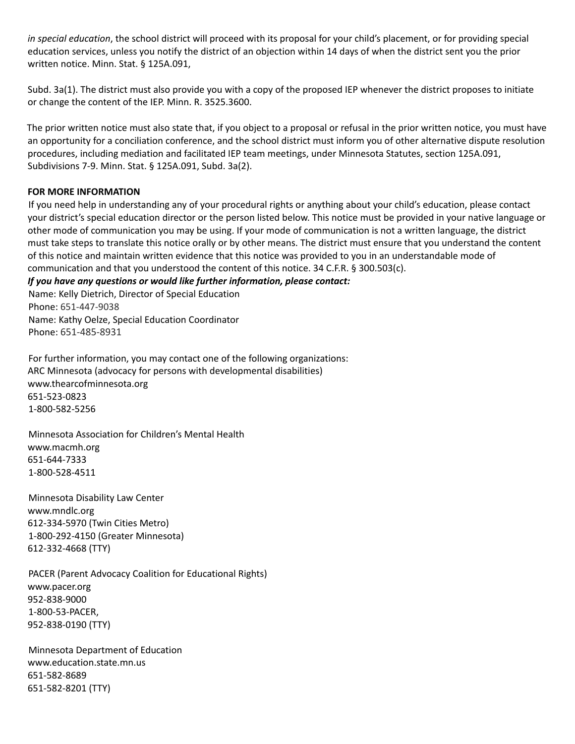*in special education*, the school district will proceed with its proposal for your child's placement, or for providing special education services, unless you notify the district of an objection within 14 days of when the district sent you the prior written notice. Minn. Stat. § 125A.091,

Subd. 3a(1). The district must also provide you with a copy of the proposed IEP whenever the district proposes to initiate or change the content of the IEP. Minn. R. 3525.3600.

The prior written notice must also state that, if you object to a proposal or refusal in the prior written notice, you must have an opportunity for a conciliation conference, and the school district must inform you of other alternative dispute resolution procedures, including mediation and facilitated IEP team meetings, under Minnesota Statutes, section 125A.091, Subdivisions 7-9. Minn. Stat. § 125A.091, Subd. 3a(2).

### **FOR MORE INFORMATION**

If you need help in understanding any of your procedural rights or anything about your child's education, please contact your district's special education director or the person listed below. This notice must be provided in your native language or other mode of communication you may be using. If your mode of communication is not a written language, the district must take steps to translate this notice orally or by other means. The district must ensure that you understand the content of this notice and maintain written evidence that this notice was provided to you in an understandable mode of communication and that you understood the content of this notice. 34 C.F.R. § 300.503(c).

### *If you have any questions or would like further information, please contact:*

Name: Kelly Dietrich, Director of Special Education Phone: 651-447-9038 Name: Kathy Oelze, Special Education Coordinator Phone: 651-485-8931

For further information, you may contact one of the following organizations: ARC Minnesota (advocacy for persons with developmental disabilities) www.thearcofminnesota.org 651-523-0823 1-800-582-5256

Minnesota Association for Children's Mental Health www.macmh.org 651-644-7333 1-800-528-4511

Minnesota Disability Law Center www.mndlc.org 612-334-5970 (Twin Cities Metro) 1-800-292-4150 (Greater Minnesota) 612-332-4668 (TTY)

PACER (Parent Advocacy Coalition for Educational Rights) www.pacer.org 952-838-9000 1-800-53-PACER, 952-838-0190 (TTY)

Minnesota Department of Education www.education.state.mn.us 651-582-8689 651-582-8201 (TTY)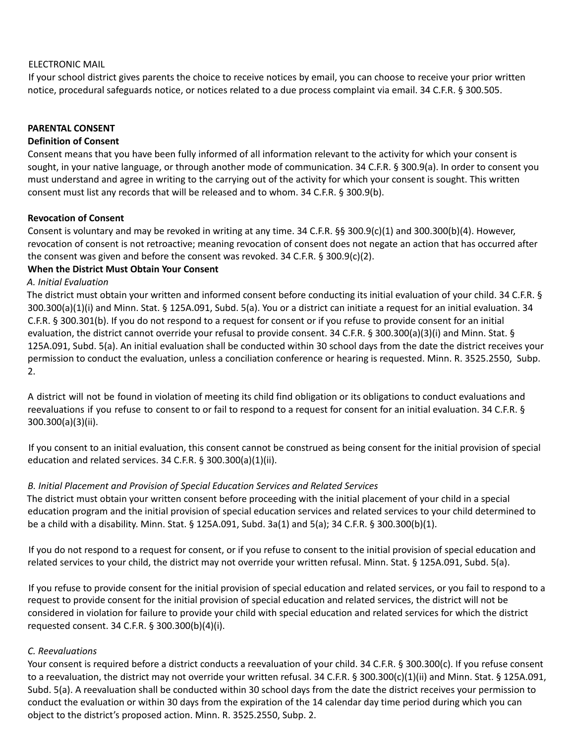### ELECTRONIC MAIL

If your school district gives parents the choice to receive notices by email, you can choose to receive your prior written notice, procedural safeguards notice, or notices related to a due process complaint via email. 34 C.F.R. § 300.505.

#### **PARENTAL CONSENT**

#### **Definition of Consent**

Consent means that you have been fully informed of all information relevant to the activity for which your consent is sought, in your native language, or through another mode of communication. 34 C.F.R. § 300.9(a). In order to consent you must understand and agree in writing to the carrying out of the activity for which your consent is sought. This written consent must list any records that will be released and to whom. 34 C.F.R. § 300.9(b).

### **Revocation of Consent**

Consent is voluntary and may be revoked in writing at any time. 34 C.F.R. §§ 300.9(c)(1) and 300.300(b)(4). However, revocation of consent is not retroactive; meaning revocation of consent does not negate an action that has occurred after the consent was given and before the consent was revoked. 34 C.F.R.  $\S$  300.9(c)(2).

### **When the District Must Obtain Your Consent**

### *A. Initial Evaluation*

The district must obtain your written and informed consent before conducting its initial evaluation of your child. 34 C.F.R. § 300.300(a)(1)(i) and Minn. Stat. § 125A.091, Subd. 5(a). You or a district can initiate a request for an initial evaluation. 34 C.F.R. § 300.301(b). If you do not respond to a request for consent or if you refuse to provide consent for an initial evaluation, the district cannot override your refusal to provide consent. 34 C.F.R. § 300.300(a)(3)(i) and Minn. Stat. § 125A.091, Subd. 5(a). An initial evaluation shall be conducted within 30 school days from the date the district receives your permission to conduct the evaluation, unless a conciliation conference or hearing is requested. Minn. R. 3525.2550, Subp. 2.

A district will not be found in violation of meeting its child find obligation or its obligations to conduct evaluations and reevaluations if you refuse to consent to or fail to respond to a request for consent for an initial evaluation. 34 C.F.R. § 300.300(a)(3)(ii).

If you consent to an initial evaluation, this consent cannot be construed as being consent for the initial provision of special education and related services. 34 C.F.R. § 300.300(a)(1)(ii).

## *B. Initial Placement and Provision of Special Education Services and Related Services*

The district must obtain your written consent before proceeding with the initial placement of your child in a special education program and the initial provision of special education services and related services to your child determined to be a child with a disability. Minn. Stat. § 125A.091, Subd. 3a(1) and 5(a); 34 C.F.R. § 300.300(b)(1).

If you do not respond to a request for consent, or if you refuse to consent to the initial provision of special education and related services to your child, the district may not override your written refusal. Minn. Stat. § 125A.091, Subd. 5(a).

If you refuse to provide consent for the initial provision of special education and related services, or you fail to respond to a request to provide consent for the initial provision of special education and related services, the district will not be considered in violation for failure to provide your child with special education and related services for which the district requested consent. 34 C.F.R. § 300.300(b)(4)(i).

## *C. Reevaluations*

Your consent is required before a district conducts a reevaluation of your child. 34 C.F.R. § 300.300(c). If you refuse consent to a reevaluation, the district may not override your written refusal. 34 C.F.R. § 300.300(c)(1)(ii) and Minn. Stat. § 125A.091, Subd. 5(a). A reevaluation shall be conducted within 30 school days from the date the district receives your permission to conduct the evaluation or within 30 days from the expiration of the 14 calendar day time period during which you can object to the district's proposed action. Minn. R. 3525.2550, Subp. 2.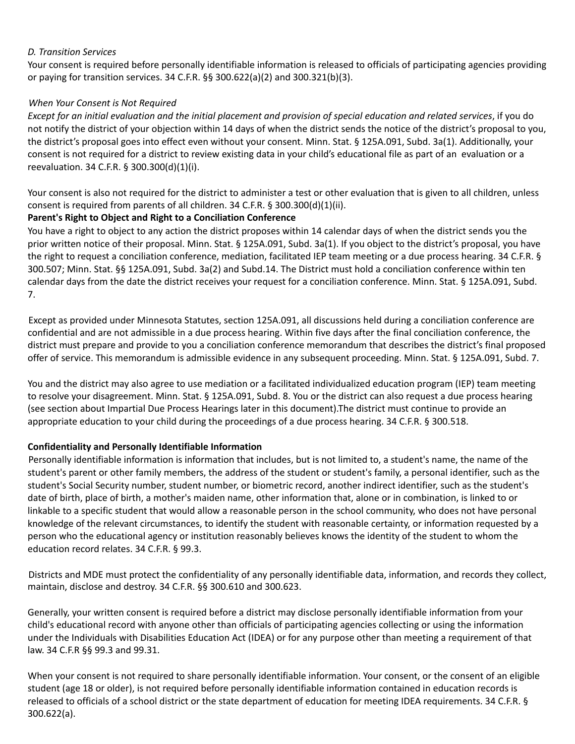### *D. Transition Services*

Your consent is required before personally identifiable information is released to officials of participating agencies providing or paying for transition services. 34 C.F.R. §§ 300.622(a)(2) and 300.321(b)(3).

### *When Your Consent is Not Required*

Except for an initial evaluation and the initial placement and provision of special education and related services, if you do not notify the district of your objection within 14 days of when the district sends the notice of the district's proposal to you, the district's proposal goes into effect even without your consent. Minn. Stat. § 125A.091, Subd. 3a(1). Additionally, your consent is not required for a district to review existing data in your child's educational file as part of an evaluation or a reevaluation. 34 C.F.R. § 300.300(d)(1)(i).

Your consent is also not required for the district to administer a test or other evaluation that is given to all children, unless consent is required from parents of all children. 34 C.F.R. § 300.300(d)(1)(ii).

#### **Parent's Right to Object and Right to a Conciliation Conference**

You have a right to object to any action the district proposes within 14 calendar days of when the district sends you the prior written notice of their proposal. Minn. Stat. § 125A.091, Subd. 3a(1). If you object to the district's proposal, you have the right to request a conciliation conference, mediation, facilitated IEP team meeting or a due process hearing. 34 C.F.R. § 300.507; Minn. Stat. §§ 125A.091, Subd. 3a(2) and Subd.14. The District must hold a conciliation conference within ten calendar days from the date the district receives your request for a conciliation conference. Minn. Stat. § 125A.091, Subd. 7.

Except as provided under Minnesota Statutes, section 125A.091, all discussions held during a conciliation conference are confidential and are not admissible in a due process hearing. Within five days after the final conciliation conference, the district must prepare and provide to you a conciliation conference memorandum that describes the district's final proposed offer of service. This memorandum is admissible evidence in any subsequent proceeding. Minn. Stat. § 125A.091, Subd. 7.

You and the district may also agree to use mediation or a facilitated individualized education program (IEP) team meeting to resolve your disagreement. Minn. Stat. § 125A.091, Subd. 8. You or the district can also request a due process hearing (see section about Impartial Due Process Hearings later in this document).The district must continue to provide an appropriate education to your child during the proceedings of a due process hearing. 34 C.F.R. § 300.518.

#### **Confidentiality and Personally Identifiable Information**

Personally identifiable information is information that includes, but is not limited to, a student's name, the name of the student's parent or other family members, the address of the student or student's family, a personal identifier, such as the student's Social Security number, student number, or biometric record, another indirect identifier, such as the student's date of birth, place of birth, a mother's maiden name, other information that, alone or in combination, is linked to or linkable to a specific student that would allow a reasonable person in the school community, who does not have personal knowledge of the relevant circumstances, to identify the student with reasonable certainty, or information requested by a person who the educational agency or institution reasonably believes knows the identity of the student to whom the education record relates. 34 C.F.R. § 99.3.

Districts and MDE must protect the confidentiality of any personally identifiable data, information, and records they collect, maintain, disclose and destroy. 34 C.F.R. §§ 300.610 and 300.623.

Generally, your written consent is required before a district may disclose personally identifiable information from your child's educational record with anyone other than officials of participating agencies collecting or using the information under the Individuals with Disabilities Education Act (IDEA) or for any purpose other than meeting a requirement of that law. 34 C.F.R §§ 99.3 and 99.31.

When your consent is not required to share personally identifiable information. Your consent, or the consent of an eligible student (age 18 or older), is not required before personally identifiable information contained in education records is released to officials of a school district or the state department of education for meeting IDEA requirements. 34 C.F.R. § 300.622(a).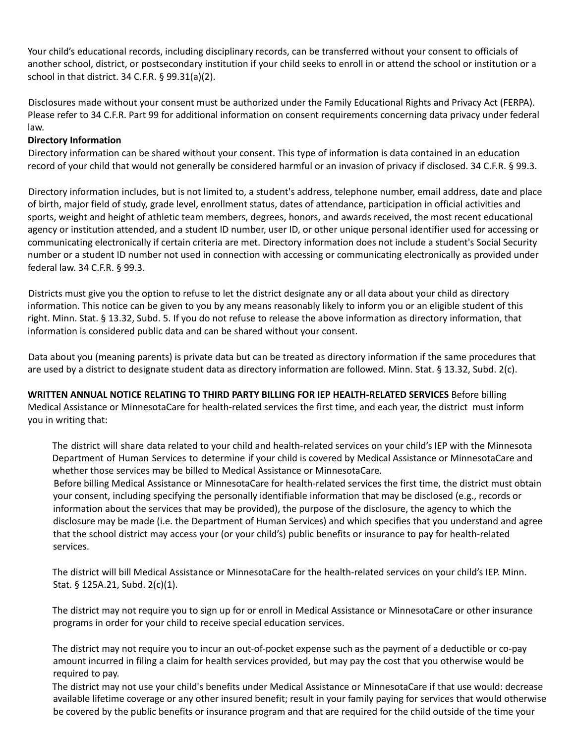Your child's educational records, including disciplinary records, can be transferred without your consent to officials of another school, district, or postsecondary institution if your child seeks to enroll in or attend the school or institution or a school in that district. 34 C.F.R. § 99.31(a)(2).

Disclosures made without your consent must be authorized under the Family Educational Rights and Privacy Act (FERPA). Please refer to 34 C.F.R. Part 99 for additional information on consent requirements concerning data privacy under federal law.

### **Directory Information**

Directory information can be shared without your consent. This type of information is data contained in an education record of your child that would not generally be considered harmful or an invasion of privacy if disclosed. 34 C.F.R. § 99.3.

Directory information includes, but is not limited to, a student's address, telephone number, email address, date and place of birth, major field of study, grade level, enrollment status, dates of attendance, participation in official activities and sports, weight and height of athletic team members, degrees, honors, and awards received, the most recent educational agency or institution attended, and a student ID number, user ID, or other unique personal identifier used for accessing or communicating electronically if certain criteria are met. Directory information does not include a student's Social Security number or a student ID number not used in connection with accessing or communicating electronically as provided under federal law. 34 C.F.R. § 99.3.

Districts must give you the option to refuse to let the district designate any or all data about your child as directory information. This notice can be given to you by any means reasonably likely to inform you or an eligible student of this right. Minn. Stat. § 13.32, Subd. 5. If you do not refuse to release the above information as directory information, that information is considered public data and can be shared without your consent.

Data about you (meaning parents) is private data but can be treated as directory information if the same procedures that are used by a district to designate student data as directory information are followed. Minn. Stat. § 13.32, Subd. 2(c).

**WRITTEN ANNUAL NOTICE RELATING TO THIRD PARTY BILLING FOR IEP HEALTH-RELATED SERVICES** Before billing Medical Assistance or MinnesotaCare for health-related services the first time, and each year, the district must inform you in writing that:

The district will share data related to your child and health-related services on your child's IEP with the Minnesota Department of Human Services to determine if your child is covered by Medical Assistance or MinnesotaCare and whether those services may be billed to Medical Assistance or MinnesotaCare.

Before billing Medical Assistance or MinnesotaCare for health-related services the first time, the district must obtain your consent, including specifying the personally identifiable information that may be disclosed (e.g., records or information about the services that may be provided), the purpose of the disclosure, the agency to which the disclosure may be made (i.e. the Department of Human Services) and which specifies that you understand and agree that the school district may access your (or your child's) public benefits or insurance to pay for health-related services.

The district will bill Medical Assistance or MinnesotaCare for the health-related services on your child's IEP. Minn. Stat. § 125A.21, Subd. 2(c)(1).

The district may not require you to sign up for or enroll in Medical Assistance or MinnesotaCare or other insurance programs in order for your child to receive special education services.

The district may not require you to incur an out-of-pocket expense such as the payment of a deductible or co-pay amount incurred in filing a claim for health services provided, but may pay the cost that you otherwise would be required to pay.

The district may not use your child's benefits under Medical Assistance or MinnesotaCare if that use would: decrease available lifetime coverage or any other insured benefit; result in your family paying for services that would otherwise be covered by the public benefits or insurance program and that are required for the child outside of the time your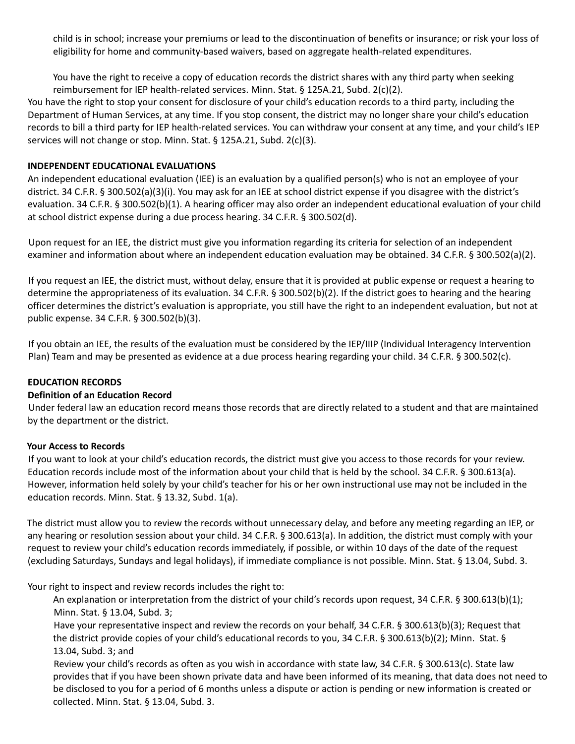child is in school; increase your premiums or lead to the discontinuation of benefits or insurance; or risk your loss of eligibility for home and community-based waivers, based on aggregate health-related expenditures.

You have the right to receive a copy of education records the district shares with any third party when seeking reimbursement for IEP health-related services. Minn. Stat. § 125A.21, Subd. 2(c)(2).

You have the right to stop your consent for disclosure of your child's education records to a third party, including the Department of Human Services, at any time. If you stop consent, the district may no longer share your child's education records to bill a third party for IEP health-related services. You can withdraw your consent at any time, and your child's IEP services will not change or stop. Minn. Stat. § 125A.21, Subd. 2(c)(3).

### **INDEPENDENT EDUCATIONAL EVALUATIONS**

An independent educational evaluation (IEE) is an evaluation by a qualified person(s) who is not an employee of your district. 34 C.F.R. § 300.502(a)(3)(i). You may ask for an IEE at school district expense if you disagree with the district's evaluation. 34 C.F.R. § 300.502(b)(1). A hearing officer may also order an independent educational evaluation of your child at school district expense during a due process hearing. 34 C.F.R. § 300.502(d).

Upon request for an IEE, the district must give you information regarding its criteria for selection of an independent examiner and information about where an independent education evaluation may be obtained. 34 C.F.R. § 300.502(a)(2).

If you request an IEE, the district must, without delay, ensure that it is provided at public expense or request a hearing to determine the appropriateness of its evaluation. 34 C.F.R. § 300.502(b)(2). If the district goes to hearing and the hearing officer determines the district's evaluation is appropriate, you still have the right to an independent evaluation, but not at public expense. 34 C.F.R. § 300.502(b)(3).

If you obtain an IEE, the results of the evaluation must be considered by the IEP/IIIP (Individual Interagency Intervention Plan) Team and may be presented as evidence at a due process hearing regarding your child. 34 C.F.R. § 300.502(c).

#### **EDUCATION RECORDS**

#### **Definition of an Education Record**

Under federal law an education record means those records that are directly related to a student and that are maintained by the department or the district.

#### **Your Access to Records**

If you want to look at your child's education records, the district must give you access to those records for your review. Education records include most of the information about your child that is held by the school. 34 C.F.R. § 300.613(a). However, information held solely by your child's teacher for his or her own instructional use may not be included in the education records. Minn. Stat. § 13.32, Subd. 1(a).

The district must allow you to review the records without unnecessary delay, and before any meeting regarding an IEP, or any hearing or resolution session about your child. 34 C.F.R. § 300.613(a). In addition, the district must comply with your request to review your child's education records immediately, if possible, or within 10 days of the date of the request (excluding Saturdays, Sundays and legal holidays), if immediate compliance is not possible. Minn. Stat. § 13.04, Subd. 3.

Your right to inspect and review records includes the right to:

An explanation or interpretation from the district of your child's records upon request, 34 C.F.R. § 300.613(b)(1); Minn. Stat. § 13.04, Subd. 3;

Have your representative inspect and review the records on your behalf, 34 C.F.R. § 300.613(b)(3); Request that the district provide copies of your child's educational records to you, 34 C.F.R. § 300.613(b)(2); Minn. Stat. § 13.04, Subd. 3; and

Review your child's records as often as you wish in accordance with state law, 34 C.F.R. § 300.613(c). State law provides that if you have been shown private data and have been informed of its meaning, that data does not need to be disclosed to you for a period of 6 months unless a dispute or action is pending or new information is created or collected. Minn. Stat. § 13.04, Subd. 3.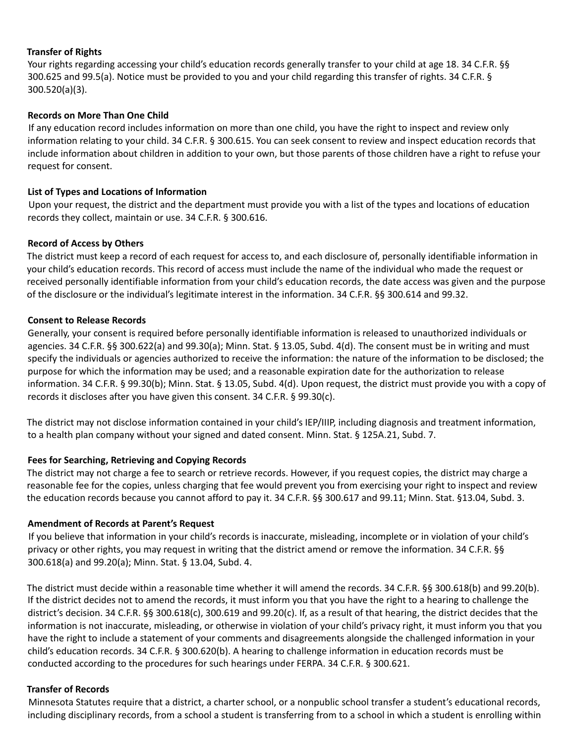#### **Transfer of Rights**

Your rights regarding accessing your child's education records generally transfer to your child at age 18. 34 C.F.R. §§ 300.625 and 99.5(a). Notice must be provided to you and your child regarding this transfer of rights. 34 C.F.R. § 300.520(a)(3).

### **Records on More Than One Child**

If any education record includes information on more than one child, you have the right to inspect and review only information relating to your child. 34 C.F.R. § 300.615. You can seek consent to review and inspect education records that include information about children in addition to your own, but those parents of those children have a right to refuse your request for consent.

### **List of Types and Locations of Information**

Upon your request, the district and the department must provide you with a list of the types and locations of education records they collect, maintain or use. 34 C.F.R. § 300.616.

### **Record of Access by Others**

The district must keep a record of each request for access to, and each disclosure of, personally identifiable information in your child's education records. This record of access must include the name of the individual who made the request or received personally identifiable information from your child's education records, the date access was given and the purpose of the disclosure or the individual's legitimate interest in the information. 34 C.F.R. §§ 300.614 and 99.32.

### **Consent to Release Records**

Generally, your consent is required before personally identifiable information is released to unauthorized individuals or agencies. 34 C.F.R. §§ 300.622(a) and 99.30(a); Minn. Stat. § 13.05, Subd. 4(d). The consent must be in writing and must specify the individuals or agencies authorized to receive the information: the nature of the information to be disclosed; the purpose for which the information may be used; and a reasonable expiration date for the authorization to release information. 34 C.F.R. § 99.30(b); Minn. Stat. § 13.05, Subd. 4(d). Upon request, the district must provide you with a copy of records it discloses after you have given this consent. 34 C.F.R. § 99.30(c).

The district may not disclose information contained in your child's IEP/IIIP, including diagnosis and treatment information, to a health plan company without your signed and dated consent. Minn. Stat. § 125A.21, Subd. 7.

## **Fees for Searching, Retrieving and Copying Records**

The district may not charge a fee to search or retrieve records. However, if you request copies, the district may charge a reasonable fee for the copies, unless charging that fee would prevent you from exercising your right to inspect and review the education records because you cannot afford to pay it. 34 C.F.R. §§ 300.617 and 99.11; Minn. Stat. §13.04, Subd. 3.

#### **Amendment of Records at Parent's Request**

If you believe that information in your child's records is inaccurate, misleading, incomplete or in violation of your child's privacy or other rights, you may request in writing that the district amend or remove the information. 34 C.F.R. §§ 300.618(a) and 99.20(a); Minn. Stat. § 13.04, Subd. 4.

The district must decide within a reasonable time whether it will amend the records. 34 C.F.R. §§ 300.618(b) and 99.20(b). If the district decides not to amend the records, it must inform you that you have the right to a hearing to challenge the district's decision. 34 C.F.R. §§ 300.618(c), 300.619 and 99.20(c). If, as a result of that hearing, the district decides that the information is not inaccurate, misleading, or otherwise in violation of your child's privacy right, it must inform you that you have the right to include a statement of your comments and disagreements alongside the challenged information in your child's education records. 34 C.F.R. § 300.620(b). A hearing to challenge information in education records must be conducted according to the procedures for such hearings under FERPA. 34 C.F.R. § 300.621.

#### **Transfer of Records**

Minnesota Statutes require that a district, a charter school, or a nonpublic school transfer a student's educational records, including disciplinary records, from a school a student is transferring from to a school in which a student is enrolling within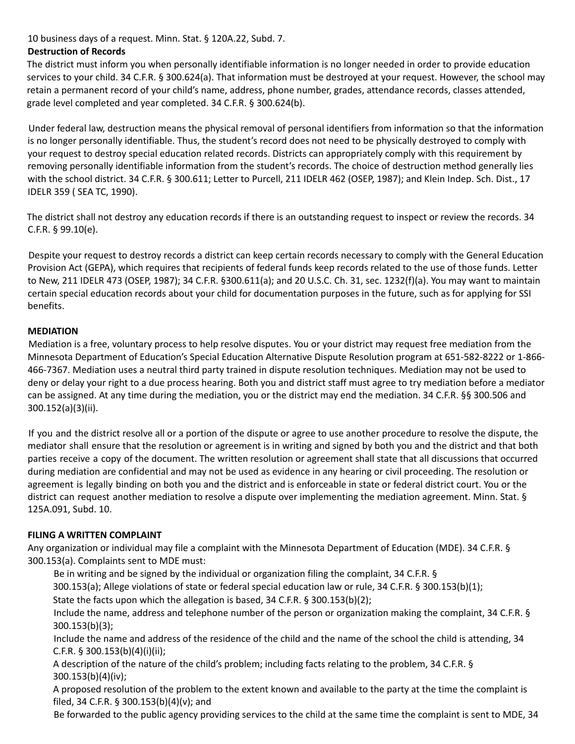## 10 business days of a request. Minn. Stat. § 120A.22, Subd. 7.

## **Destruction of Records**

The district must inform you when personally identifiable information is no longer needed in order to provide education services to your child. 34 C.F.R. § 300.624(a). That information must be destroyed at your request. However, the school may retain a permanent record of your child's name, address, phone number, grades, attendance records, classes attended, grade level completed and year completed. 34 C.F.R. § 300.624(b).

Under federal law, destruction means the physical removal of personal identifiers from information so that the information is no longer personally identifiable. Thus, the student's record does not need to be physically destroyed to comply with your request to destroy special education related records. Districts can appropriately comply with this requirement by removing personally identifiable information from the student's records. The choice of destruction method generally lies with the school district. 34 C.F.R. § 300.611; Letter to Purcell, 211 IDELR 462 (OSEP, 1987); and Klein Indep. Sch. Dist., 17 IDELR 359 ( SEA TC, 1990).

The district shall not destroy any education records if there is an outstanding request to inspect or review the records. 34 C.F.R. § 99.10(e).

Despite your request to destroy records a district can keep certain records necessary to comply with the General Education Provision Act (GEPA), which requires that recipients of federal funds keep records related to the use of those funds. Letter to New, 211 IDELR 473 (OSEP, 1987); 34 C.F.R. §300.611(a); and 20 U.S.C. Ch. 31, sec. 1232(f)(a). You may want to maintain certain special education records about your child for documentation purposes in the future, such as for applying for SSI benefits.

## **MEDIATION**

Mediation is a free, voluntary process to help resolve disputes. You or your district may request free mediation from the Minnesota Department of Education's Special Education Alternative Dispute Resolution program at 651-582-8222 or 1-866- 466-7367. Mediation uses a neutral third party trained in dispute resolution techniques. Mediation may not be used to deny or delay your right to a due process hearing. Both you and district staff must agree to try mediation before a mediator can be assigned. At any time during the mediation, you or the district may end the mediation. 34 C.F.R. §§ 300.506 and 300.152(a)(3)(ii).

If you and the district resolve all or a portion of the dispute or agree to use another procedure to resolve the dispute, the mediator shall ensure that the resolution or agreement is in writing and signed by both you and the district and that both parties receive a copy of the document. The written resolution or agreement shall state that all discussions that occurred during mediation are confidential and may not be used as evidence in any hearing or civil proceeding. The resolution or agreement is legally binding on both you and the district and is enforceable in state or federal district court. You or the district can request another mediation to resolve a dispute over implementing the mediation agreement. Minn. Stat. § 125A.091, Subd. 10.

## **FILING A WRITTEN COMPLAINT**

Any organization or individual may file a complaint with the Minnesota Department of Education (MDE). 34 C.F.R. § 300.153(a). Complaints sent to MDE must:

Be in writing and be signed by the individual or organization filing the complaint, 34 C.F.R. §

300.153(a); Allege violations of state or federal special education law or rule, 34 C.F.R. § 300.153(b)(1);

State the facts upon which the allegation is based, 34 C.F.R. § 300.153(b)(2);

Include the name, address and telephone number of the person or organization making the complaint, 34 C.F.R. § 300.153(b)(3);

Include the name and address of the residence of the child and the name of the school the child is attending, 34 C.F.R. § 300.153(b)(4)(i)(ii);

A description of the nature of the child's problem; including facts relating to the problem, 34 C.F.R. § 300.153(b)(4)(iv);

A proposed resolution of the problem to the extent known and available to the party at the time the complaint is filed, 34 C.F.R. § 300.153(b)(4)(v); and

Be forwarded to the public agency providing services to the child at the same time the complaint is sent to MDE, 34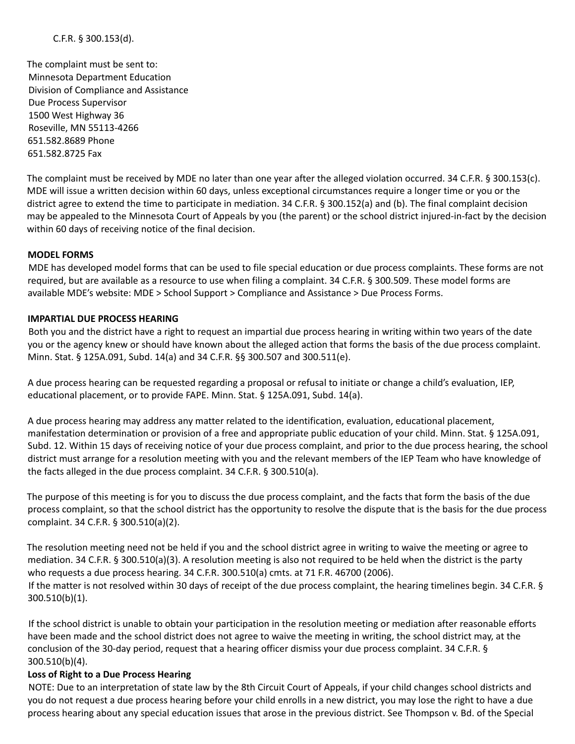The complaint must be sent to: Minnesota Department Education Division of Compliance and Assistance Due Process Supervisor 1500 West Highway 36 Roseville, MN 55113-4266 651.582.8689 Phone 651.582.8725 Fax

The complaint must be received by MDE no later than one year after the alleged violation occurred. 34 C.F.R. § 300.153(c). MDE will issue a written decision within 60 days, unless exceptional circumstances require a longer time or you or the district agree to extend the time to participate in mediation. 34 C.F.R. § 300.152(a) and (b). The final complaint decision may be appealed to the Minnesota Court of Appeals by you (the parent) or the school district injured-in-fact by the decision within 60 days of receiving notice of the final decision.

## **MODEL FORMS**

MDE has developed model forms that can be used to file special education or due process complaints. These forms are not required, but are available as a resource to use when filing a complaint. 34 C.F.R. § 300.509. These model forms are available MDE's website: MDE > School Support > Compliance and Assistance > Due Process Forms.

#### **IMPARTIAL DUE PROCESS HEARING**

Both you and the district have a right to request an impartial due process hearing in writing within two years of the date you or the agency knew or should have known about the alleged action that forms the basis of the due process complaint. Minn. Stat. § 125A.091, Subd. 14(a) and 34 C.F.R. §§ 300.507 and 300.511(e).

A due process hearing can be requested regarding a proposal or refusal to initiate or change a child's evaluation, IEP, educational placement, or to provide FAPE. Minn. Stat. § 125A.091, Subd. 14(a).

A due process hearing may address any matter related to the identification, evaluation, educational placement, manifestation determination or provision of a free and appropriate public education of your child. Minn. Stat. § 125A.091, Subd. 12. Within 15 days of receiving notice of your due process complaint, and prior to the due process hearing, the school district must arrange for a resolution meeting with you and the relevant members of the IEP Team who have knowledge of the facts alleged in the due process complaint. 34 C.F.R. § 300.510(a).

The purpose of this meeting is for you to discuss the due process complaint, and the facts that form the basis of the due process complaint, so that the school district has the opportunity to resolve the dispute that is the basis for the due process complaint. 34 C.F.R. § 300.510(a)(2).

The resolution meeting need not be held if you and the school district agree in writing to waive the meeting or agree to mediation. 34 C.F.R. § 300.510(a)(3). A resolution meeting is also not required to be held when the district is the party who requests a due process hearing. 34 C.F.R. 300.510(a) cmts. at 71 F.R. 46700 (2006). If the matter is not resolved within 30 days of receipt of the due process complaint, the hearing timelines begin. 34 C.F.R. § 300.510(b)(1).

If the school district is unable to obtain your participation in the resolution meeting or mediation after reasonable efforts have been made and the school district does not agree to waive the meeting in writing, the school district may, at the conclusion of the 30-day period, request that a hearing officer dismiss your due process complaint. 34 C.F.R. § 300.510(b)(4).

#### **Loss of Right to a Due Process Hearing**

NOTE: Due to an interpretation of state law by the 8th Circuit Court of Appeals, if your child changes school districts and you do not request a due process hearing before your child enrolls in a new district, you may lose the right to have a due process hearing about any special education issues that arose in the previous district. See Thompson v. Bd. of the Special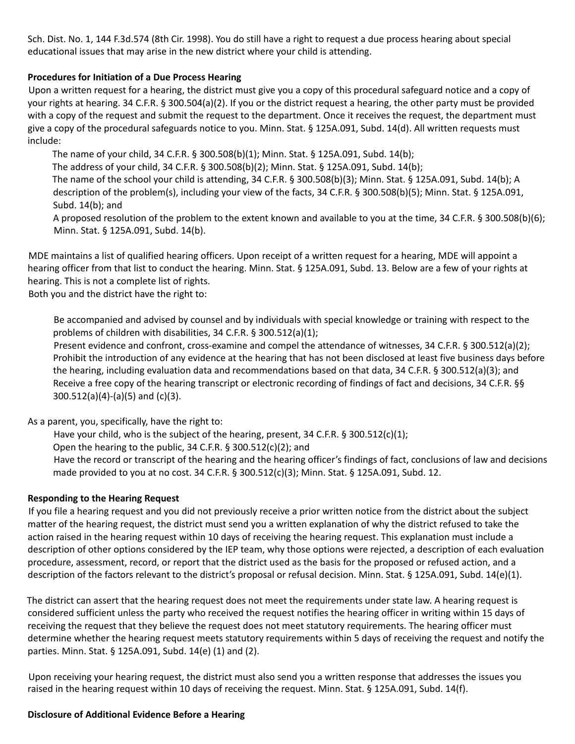Sch. Dist. No. 1, 144 F.3d.574 (8th Cir. 1998). You do still have a right to request a due process hearing about special educational issues that may arise in the new district where your child is attending.

### **Procedures for Initiation of a Due Process Hearing**

Upon a written request for a hearing, the district must give you a copy of this procedural safeguard notice and a copy of your rights at hearing. 34 C.F.R. § 300.504(a)(2). If you or the district request a hearing, the other party must be provided with a copy of the request and submit the request to the department. Once it receives the request, the department must give a copy of the procedural safeguards notice to you. Minn. Stat. § 125A.091, Subd. 14(d). All written requests must include:

The name of your child, 34 C.F.R. § 300.508(b)(1); Minn. Stat. § 125A.091, Subd. 14(b);

The address of your child, 34 C.F.R. § 300.508(b)(2); Minn. Stat. § 125A.091, Subd. 14(b);

The name of the school your child is attending, 34 C.F.R. § 300.508(b)(3); Minn. Stat. § 125A.091, Subd. 14(b); A description of the problem(s), including your view of the facts, 34 C.F.R. § 300.508(b)(5); Minn. Stat. § 125A.091, Subd. 14(b); and

A proposed resolution of the problem to the extent known and available to you at the time, 34 C.F.R. § 300.508(b)(6); Minn. Stat. § 125A.091, Subd. 14(b).

MDE maintains a list of qualified hearing officers. Upon receipt of a written request for a hearing, MDE will appoint a hearing officer from that list to conduct the hearing. Minn. Stat. § 125A.091, Subd. 13. Below are a few of your rights at hearing. This is not a complete list of rights.

Both you and the district have the right to:

Be accompanied and advised by counsel and by individuals with special knowledge or training with respect to the problems of children with disabilities, 34 C.F.R. § 300.512(a)(1);

Present evidence and confront, cross-examine and compel the attendance of witnesses, 34 C.F.R. § 300.512(a)(2); Prohibit the introduction of any evidence at the hearing that has not been disclosed at least five business days before the hearing, including evaluation data and recommendations based on that data, 34 C.F.R. § 300.512(a)(3); and Receive a free copy of the hearing transcript or electronic recording of findings of fact and decisions, 34 C.F.R. §§ 300.512(a)(4)-(a)(5) and (c)(3).

As a parent, you, specifically, have the right to:

Have your child, who is the subject of the hearing, present, 34 C.F.R.  $\S$  300.512(c)(1);

Open the hearing to the public, 34 C.F.R. § 300.512(c)(2); and

Have the record or transcript of the hearing and the hearing officer's findings of fact, conclusions of law and decisions made provided to you at no cost. 34 C.F.R. § 300.512(c)(3); Minn. Stat. § 125A.091, Subd. 12.

## **Responding to the Hearing Request**

If you file a hearing request and you did not previously receive a prior written notice from the district about the subject matter of the hearing request, the district must send you a written explanation of why the district refused to take the action raised in the hearing request within 10 days of receiving the hearing request. This explanation must include a description of other options considered by the IEP team, why those options were rejected, a description of each evaluation procedure, assessment, record, or report that the district used as the basis for the proposed or refused action, and a description of the factors relevant to the district's proposal or refusal decision. Minn. Stat. § 125A.091, Subd. 14(e)(1).

The district can assert that the hearing request does not meet the requirements under state law. A hearing request is considered sufficient unless the party who received the request notifies the hearing officer in writing within 15 days of receiving the request that they believe the request does not meet statutory requirements. The hearing officer must determine whether the hearing request meets statutory requirements within 5 days of receiving the request and notify the parties. Minn. Stat. § 125A.091, Subd. 14(e) (1) and (2).

Upon receiving your hearing request, the district must also send you a written response that addresses the issues you raised in the hearing request within 10 days of receiving the request. Minn. Stat. § 125A.091, Subd. 14(f).

#### **Disclosure of Additional Evidence Before a Hearing**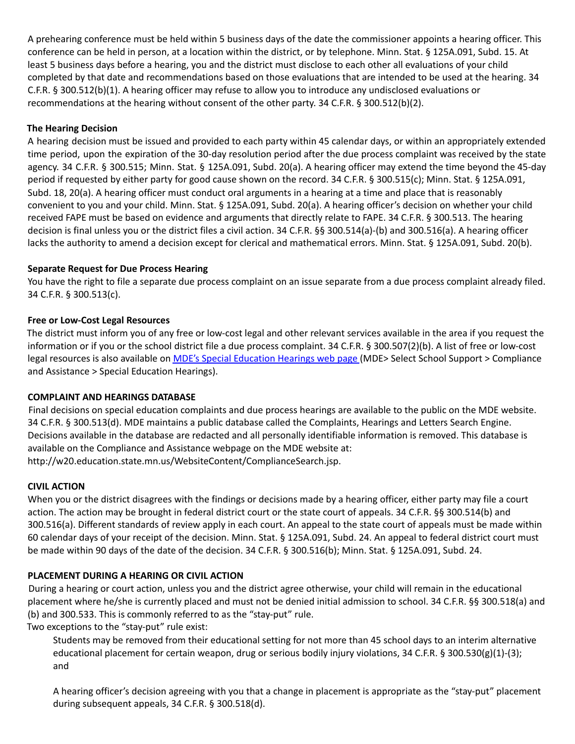A prehearing conference must be held within 5 business days of the date the commissioner appoints a hearing officer. This conference can be held in person, at a location within the district, or by telephone. Minn. Stat. § 125A.091, Subd. 15. At least 5 business days before a hearing, you and the district must disclose to each other all evaluations of your child completed by that date and recommendations based on those evaluations that are intended to be used at the hearing. 34 C.F.R. § 300.512(b)(1). A hearing officer may refuse to allow you to introduce any undisclosed evaluations or recommendations at the hearing without consent of the other party. 34 C.F.R. § 300.512(b)(2).

## **The Hearing Decision**

A hearing decision must be issued and provided to each party within 45 calendar days, or within an appropriately extended time period, upon the expiration of the 30-day resolution period after the due process complaint was received by the state agency. 34 C.F.R. § 300.515; Minn. Stat. § 125A.091, Subd. 20(a). A hearing officer may extend the time beyond the 45-day period if requested by either party for good cause shown on the record. 34 C.F.R. § 300.515(c); Minn. Stat. § 125A.091, Subd. 18, 20(a). A hearing officer must conduct oral arguments in a hearing at a time and place that is reasonably convenient to you and your child. Minn. Stat. § 125A.091, Subd. 20(a). A hearing officer's decision on whether your child received FAPE must be based on evidence and arguments that directly relate to FAPE. 34 C.F.R. § 300.513. The hearing decision is final unless you or the district files a civil action. 34 C.F.R. §§ 300.514(a)-(b) and 300.516(a). A hearing officer lacks the authority to amend a decision except for clerical and mathematical errors. Minn. Stat. § 125A.091, Subd. 20(b).

## **Separate Request for Due Process Hearing**

You have the right to file a separate due process complaint on an issue separate from a due process complaint already filed. 34 C.F.R. § 300.513(c).

## **Free or Low-Cost Legal Resources**

The district must inform you of any free or low-cost legal and other relevant services available in the area if you request the information or if you or the school district file a due process complaint. 34 C.F.R. § 300.507(2)(b). A list of free or low-cost legal resources is also available on MDE's Special Education Hearings web page (MDE> Select School Support > Compliance and Assistance > Special Education Hearings).

## **COMPLAINT AND HEARINGS DATABASE**

Final decisions on special education complaints and due process hearings are available to the public on the MDE website. 34 C.F.R. § 300.513(d). MDE maintains a public database called the Complaints, Hearings and Letters Search Engine. Decisions available in the database are redacted and all personally identifiable information is removed. This database is available on the Compliance and Assistance webpage on the MDE website at: http://w20.education.state.mn.us/WebsiteContent/ComplianceSearch.jsp.

## **CIVIL ACTION**

When you or the district disagrees with the findings or decisions made by a hearing officer, either party may file a court action. The action may be brought in federal district court or the state court of appeals. 34 C.F.R. §§ 300.514(b) and 300.516(a). Different standards of review apply in each court. An appeal to the state court of appeals must be made within 60 calendar days of your receipt of the decision. Minn. Stat. § 125A.091, Subd. 24. An appeal to federal district court must be made within 90 days of the date of the decision. 34 C.F.R. § 300.516(b); Minn. Stat. § 125A.091, Subd. 24.

## **PLACEMENT DURING A HEARING OR CIVIL ACTION**

During a hearing or court action, unless you and the district agree otherwise, your child will remain in the educational placement where he/she is currently placed and must not be denied initial admission to school. 34 C.F.R. §§ 300.518(a) and (b) and 300.533. This is commonly referred to as the "stay-put" rule.

Two exceptions to the "stay-put" rule exist:

Students may be removed from their educational setting for not more than 45 school days to an interim alternative educational placement for certain weapon, drug or serious bodily injury violations, 34 C.F.R. § 300.530(g)(1)-(3); and

A hearing officer's decision agreeing with you that a change in placement is appropriate as the "stay-put" placement during subsequent appeals, 34 C.F.R. § 300.518(d).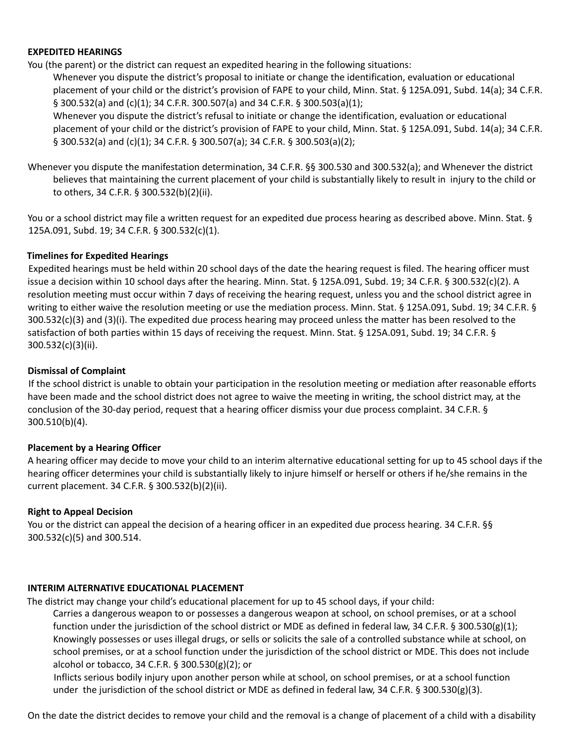#### **EXPEDITED HEARINGS**

You (the parent) or the district can request an expedited hearing in the following situations:

Whenever you dispute the district's proposal to initiate or change the identification, evaluation or educational placement of your child or the district's provision of FAPE to your child, Minn. Stat. § 125A.091, Subd. 14(a); 34 C.F.R. § 300.532(a) and (c)(1); 34 C.F.R. 300.507(a) and 34 C.F.R. § 300.503(a)(1);

Whenever you dispute the district's refusal to initiate or change the identification, evaluation or educational placement of your child or the district's provision of FAPE to your child, Minn. Stat. § 125A.091, Subd. 14(a); 34 C.F.R. § 300.532(a) and (c)(1); 34 C.F.R. § 300.507(a); 34 C.F.R. § 300.503(a)(2);

Whenever you dispute the manifestation determination, 34 C.F.R. §§ 300.530 and 300.532(a); and Whenever the district believes that maintaining the current placement of your child is substantially likely to result in injury to the child or to others, 34 C.F.R. § 300.532(b)(2)(ii).

You or a school district may file a written request for an expedited due process hearing as described above. Minn. Stat. § 125A.091, Subd. 19; 34 C.F.R. § 300.532(c)(1).

### **Timelines for Expedited Hearings**

Expedited hearings must be held within 20 school days of the date the hearing request is filed. The hearing officer must issue a decision within 10 school days after the hearing. Minn. Stat. § 125A.091, Subd. 19; 34 C.F.R. § 300.532(c)(2). A resolution meeting must occur within 7 days of receiving the hearing request, unless you and the school district agree in writing to either waive the resolution meeting or use the mediation process. Minn. Stat. § 125A.091, Subd. 19; 34 C.F.R. § 300.532(c)(3) and (3)(i). The expedited due process hearing may proceed unless the matter has been resolved to the satisfaction of both parties within 15 days of receiving the request. Minn. Stat. § 125A.091, Subd. 19; 34 C.F.R. § 300.532(c)(3)(ii).

### **Dismissal of Complaint**

If the school district is unable to obtain your participation in the resolution meeting or mediation after reasonable efforts have been made and the school district does not agree to waive the meeting in writing, the school district may, at the conclusion of the 30-day period, request that a hearing officer dismiss your due process complaint. 34 C.F.R. § 300.510(b)(4).

#### **Placement by a Hearing Officer**

A hearing officer may decide to move your child to an interim alternative educational setting for up to 45 school days if the hearing officer determines your child is substantially likely to injure himself or herself or others if he/she remains in the current placement. 34 C.F.R. § 300.532(b)(2)(ii).

#### **Right to Appeal Decision**

You or the district can appeal the decision of a hearing officer in an expedited due process hearing. 34 C.F.R. §§ 300.532(c)(5) and 300.514.

#### **INTERIM ALTERNATIVE EDUCATIONAL PLACEMENT**

The district may change your child's educational placement for up to 45 school days, if your child:

Carries a dangerous weapon to or possesses a dangerous weapon at school, on school premises, or at a school function under the jurisdiction of the school district or MDE as defined in federal law, 34 C.F.R. § 300.530(g)(1); Knowingly possesses or uses illegal drugs, or sells or solicits the sale of a controlled substance while at school, on school premises, or at a school function under the jurisdiction of the school district or MDE. This does not include alcohol or tobacco, 34 C.F.R. § 300.530(g)(2); or

Inflicts serious bodily injury upon another person while at school, on school premises, or at a school function under the jurisdiction of the school district or MDE as defined in federal law, 34 C.F.R. § 300.530(g)(3).

On the date the district decides to remove your child and the removal is a change of placement of a child with a disability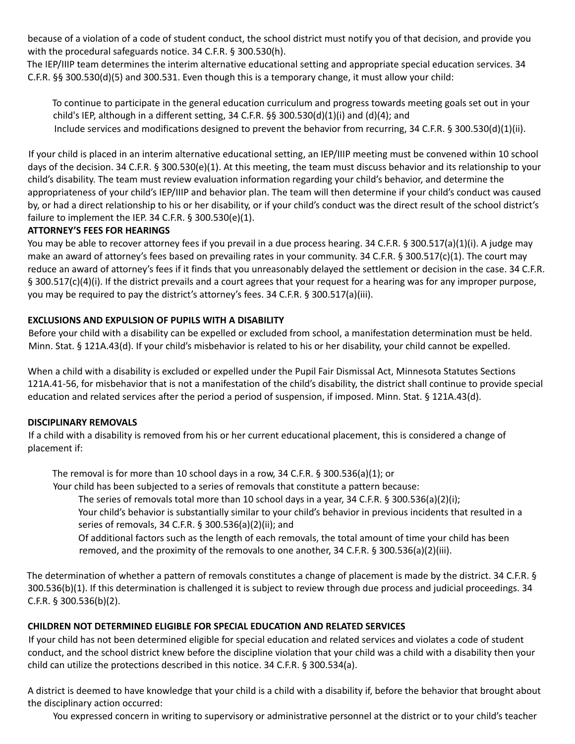because of a violation of a code of student conduct, the school district must notify you of that decision, and provide you with the procedural safeguards notice. 34 C.F.R. § 300.530(h).

The IEP/IIIP team determines the interim alternative educational setting and appropriate special education services. 34 C.F.R. §§ 300.530(d)(5) and 300.531. Even though this is a temporary change, it must allow your child:

To continue to participate in the general education curriculum and progress towards meeting goals set out in your child's IEP, although in a different setting, 34 C.F.R. §§ 300.530(d)(1)(i) and (d)(4); and Include services and modifications designed to prevent the behavior from recurring, 34 C.F.R. § 300.530(d)(1)(ii).

If your child is placed in an interim alternative educational setting, an IEP/IIIP meeting must be convened within 10 school days of the decision. 34 C.F.R. § 300.530(e)(1). At this meeting, the team must discuss behavior and its relationship to your child's disability. The team must review evaluation information regarding your child's behavior, and determine the appropriateness of your child's IEP/IIIP and behavior plan. The team will then determine if your child's conduct was caused by, or had a direct relationship to his or her disability, or if your child's conduct was the direct result of the school district's failure to implement the IEP. 34 C.F.R. § 300.530(e)(1).

## **ATTORNEY'S FEES FOR HEARINGS**

You may be able to recover attorney fees if you prevail in a due process hearing. 34 C.F.R. § 300.517(a)(1)(i). A judge may make an award of attorney's fees based on prevailing rates in your community. 34 C.F.R. § 300.517(c)(1). The court may reduce an award of attorney's fees if it finds that you unreasonably delayed the settlement or decision in the case. 34 C.F.R. § 300.517(c)(4)(i). If the district prevails and a court agrees that your request for a hearing was for any improper purpose, you may be required to pay the district's attorney's fees. 34 C.F.R. § 300.517(a)(iii).

## **EXCLUSIONS AND EXPULSION OF PUPILS WITH A DISABILITY**

Before your child with a disability can be expelled or excluded from school, a manifestation determination must be held. Minn. Stat. § 121A.43(d). If your child's misbehavior is related to his or her disability, your child cannot be expelled.

When a child with a disability is excluded or expelled under the Pupil Fair Dismissal Act, Minnesota Statutes Sections 121A.41-56, for misbehavior that is not a manifestation of the child's disability, the district shall continue to provide special education and related services after the period a period of suspension, if imposed. Minn. Stat. § 121A.43(d).

## **DISCIPLINARY REMOVALS**

If a child with a disability is removed from his or her current educational placement, this is considered a change of placement if:

The removal is for more than 10 school days in a row, 34 C.F.R.  $\S$  300.536(a)(1); or

Your child has been subjected to a series of removals that constitute a pattern because:

The series of removals total more than 10 school days in a year, 34 C.F.R. § 300.536(a)(2)(i);

Your child's behavior is substantially similar to your child's behavior in previous incidents that resulted in a series of removals, 34 C.F.R. § 300.536(a)(2)(ii); and

Of additional factors such as the length of each removals, the total amount of time your child has been removed, and the proximity of the removals to one another, 34 C.F.R. § 300.536(a)(2)(iii).

The determination of whether a pattern of removals constitutes a change of placement is made by the district. 34 C.F.R. § 300.536(b)(1). If this determination is challenged it is subject to review through due process and judicial proceedings. 34 C.F.R. § 300.536(b)(2).

## **CHILDREN NOT DETERMINED ELIGIBLE FOR SPECIAL EDUCATION AND RELATED SERVICES**

If your child has not been determined eligible for special education and related services and violates a code of student conduct, and the school district knew before the discipline violation that your child was a child with a disability then your child can utilize the protections described in this notice. 34 C.F.R. § 300.534(a).

A district is deemed to have knowledge that your child is a child with a disability if, before the behavior that brought about the disciplinary action occurred:

You expressed concern in writing to supervisory or administrative personnel at the district or to your child's teacher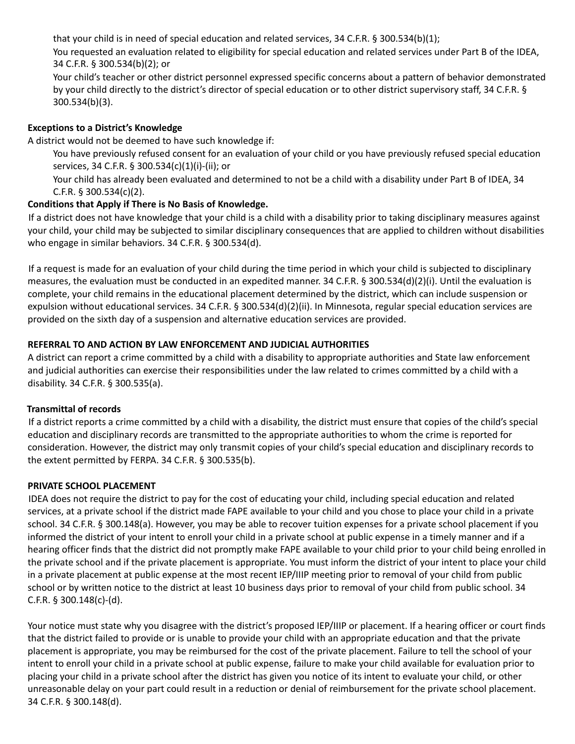that your child is in need of special education and related services, 34 C.F.R. § 300.534(b)(1);

You requested an evaluation related to eligibility for special education and related services under Part B of the IDEA, 34 C.F.R. § 300.534(b)(2); or

Your child's teacher or other district personnel expressed specific concerns about a pattern of behavior demonstrated by your child directly to the district's director of special education or to other district supervisory staff, 34 C.F.R. § 300.534(b)(3).

## **Exceptions to a District's Knowledge**

A district would not be deemed to have such knowledge if:

You have previously refused consent for an evaluation of your child or you have previously refused special education services, 34 C.F.R. § 300.534(c)(1)(i)-(ii); or

Your child has already been evaluated and determined to not be a child with a disability under Part B of IDEA, 34 C.F.R. § 300.534(c)(2).

## **Conditions that Apply if There is No Basis of Knowledge.**

If a district does not have knowledge that your child is a child with a disability prior to taking disciplinary measures against your child, your child may be subjected to similar disciplinary consequences that are applied to children without disabilities who engage in similar behaviors. 34 C.F.R. § 300.534(d).

If a request is made for an evaluation of your child during the time period in which your child is subjected to disciplinary measures, the evaluation must be conducted in an expedited manner. 34 C.F.R. § 300.534(d)(2)(i). Until the evaluation is complete, your child remains in the educational placement determined by the district, which can include suspension or expulsion without educational services. 34 C.F.R. § 300.534(d)(2)(ii). In Minnesota, regular special education services are provided on the sixth day of a suspension and alternative education services are provided.

## **REFERRAL TO AND ACTION BY LAW ENFORCEMENT AND JUDICIAL AUTHORITIES**

A district can report a crime committed by a child with a disability to appropriate authorities and State law enforcement and judicial authorities can exercise their responsibilities under the law related to crimes committed by a child with a disability. 34 C.F.R. § 300.535(a).

## **Transmittal of records**

If a district reports a crime committed by a child with a disability, the district must ensure that copies of the child's special education and disciplinary records are transmitted to the appropriate authorities to whom the crime is reported for consideration. However, the district may only transmit copies of your child's special education and disciplinary records to the extent permitted by FERPA. 34 C.F.R. § 300.535(b).

## **PRIVATE SCHOOL PLACEMENT**

IDEA does not require the district to pay for the cost of educating your child, including special education and related services, at a private school if the district made FAPE available to your child and you chose to place your child in a private school. 34 C.F.R. § 300.148(a). However, you may be able to recover tuition expenses for a private school placement if you informed the district of your intent to enroll your child in a private school at public expense in a timely manner and if a hearing officer finds that the district did not promptly make FAPE available to your child prior to your child being enrolled in the private school and if the private placement is appropriate. You must inform the district of your intent to place your child in a private placement at public expense at the most recent IEP/IIIP meeting prior to removal of your child from public school or by written notice to the district at least 10 business days prior to removal of your child from public school. 34 C.F.R. § 300.148(c)-(d).

Your notice must state why you disagree with the district's proposed IEP/IIIP or placement. If a hearing officer or court finds that the district failed to provide or is unable to provide your child with an appropriate education and that the private placement is appropriate, you may be reimbursed for the cost of the private placement. Failure to tell the school of your intent to enroll your child in a private school at public expense, failure to make your child available for evaluation prior to placing your child in a private school after the district has given you notice of its intent to evaluate your child, or other unreasonable delay on your part could result in a reduction or denial of reimbursement for the private school placement. 34 C.F.R. § 300.148(d).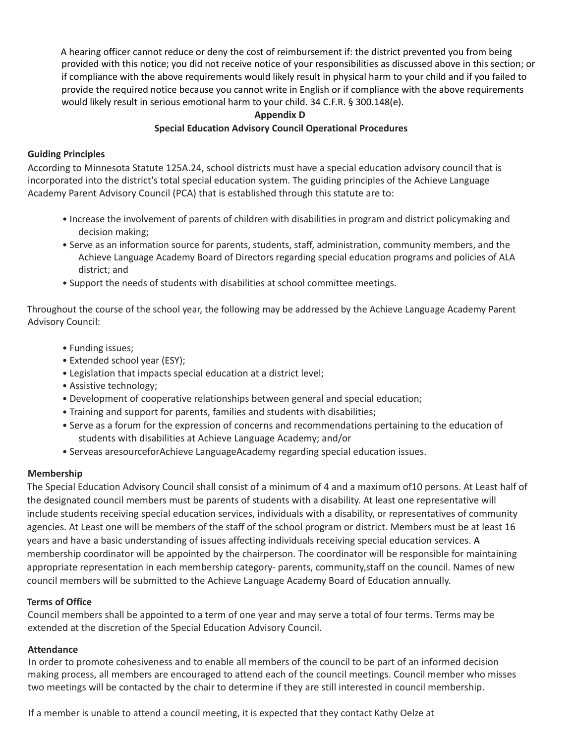A hearing officer cannot reduce or deny the cost of reimbursement if: the district prevented you from being provided with this notice; you did not receive notice of your responsibilities as discussed above in this section; or if compliance with the above requirements would likely result in physical harm to your child and if you failed to provide the required notice because you cannot write in English or if compliance with the above requirements would likely result in serious emotional harm to your child. 34 C.F.R. § 300.148(e).

## **Appendix D**

### **Special Education Advisory Council Operational Procedures**

#### **Guiding Principles**

According to Minnesota Statute 125A.24, school districts must have a special education advisory council that is incorporated into the district's total special education system. The guiding principles of the Achieve Language Academy Parent Advisory Council (PCA) that is established through this statute are to:

- Increase the involvement of parents of children with disabilities in program and district policymaking and decision making;
- Serve as an information source for parents, students, staff, administration, community members, and the Achieve Language Academy Board of Directors regarding special education programs and policies of ALA district; and
- Support the needs of students with disabilities at school committee meetings.

Throughout the course of the school year, the following may be addressed by the Achieve Language Academy Parent Advisory Council:

- Funding issues;
- Extended school year (ESY);
- Legislation that impacts special education at a district level;
- Assistive technology;
- Development of cooperative relationships between general and special education;
- Training and support for parents, families and students with disabilities;
- Serve as a forum for the expression of concerns and recommendations pertaining to the education of students with disabilities at Achieve Language Academy; and/or
- Serveas aresourceforAchieve LanguageAcademy regarding special education issues.

#### **Membership**

The Special Education Advisory Council shall consist of a minimum of 4 and a maximum of10 persons. At Least half of the designated council members must be parents of students with a disability. At least one representative will include students receiving special education services, individuals with a disability, or representatives of community agencies. At Least one will be members of the staff of the school program or district. Members must be at least 16 years and have a basic understanding of issues affecting individuals receiving special education services. A membership coordinator will be appointed by the chairperson. The coordinator will be responsible for maintaining appropriate representation in each membership category- parents, community,staff on the council. Names of new council members will be submitted to the Achieve Language Academy Board of Education annually.

#### **Terms of Office**

Council members shall be appointed to a term of one year and may serve a total of four terms. Terms may be extended at the discretion of the Special Education Advisory Council.

#### **Attendance**

In order to promote cohesiveness and to enable all members of the council to be part of an informed decision making process, all members are encouraged to attend each of the council meetings. Council member who misses two meetings will be contacted by the chair to determine if they are still interested in council membership.

If a member is unable to attend a council meeting, it is expected that they contact Kathy Oelze at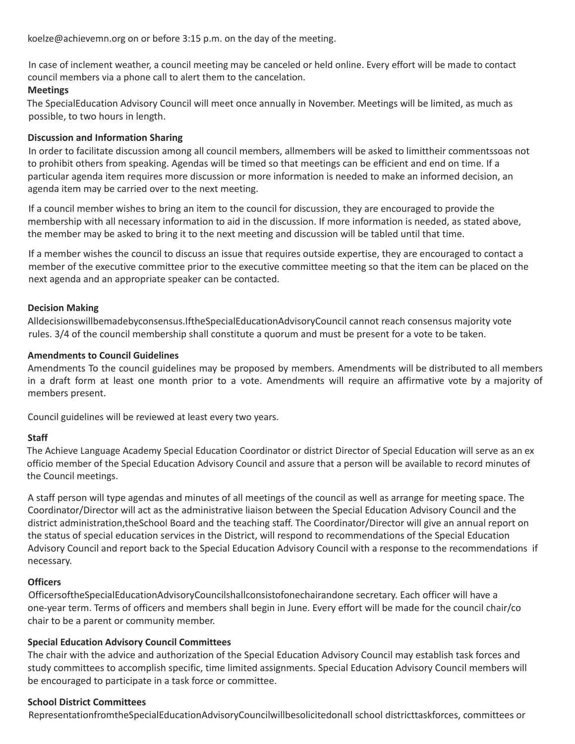koelze@achievemn.org on or before 3:15 p.m. on the day of the meeting.

In case of inclement weather, a council meeting may be canceled or held online. Every effort will be made to contact council members via a phone call to alert them to the cancelation.

### **Meetings**

The SpecialEducation Advisory Council will meet once annually in November. Meetings will be limited, as much as possible, to two hours in length.

#### **Discussion and Information Sharing**

In order to facilitate discussion among all council members, allmembers will be asked to limittheir commentssoas not to prohibit others from speaking. Agendas will be timed so that meetings can be efficient and end on time. If a particular agenda item requires more discussion or more information is needed to make an informed decision, an agenda item may be carried over to the next meeting.

If a council member wishes to bring an item to the council for discussion, they are encouraged to provide the membership with all necessary information to aid in the discussion. If more information is needed, as stated above, the member may be asked to bring it to the next meeting and discussion will be tabled until that time.

If a member wishes the council to discuss an issue that requires outside expertise, they are encouraged to contact a member of the executive committee prior to the executive committee meeting so that the item can be placed on the next agenda and an appropriate speaker can be contacted.

#### **Decision Making**

Alldecisionswillbemadebyconsensus.IftheSpecialEducationAdvisoryCouncil cannot reach consensus majority vote rules. 3/4 of the council membership shall constitute a quorum and must be present for a vote to be taken.

#### **Amendments to Council Guidelines**

Amendments To the council guidelines may be proposed by members. Amendments will be distributed to all members in a draft form at least one month prior to a vote. Amendments will require an affirmative vote by a majority of members present.

Council guidelines will be reviewed at least every two years.

#### **Staff**

The Achieve Language Academy Special Education Coordinator or district Director of Special Education will serve as an ex officio member of the Special Education Advisory Council and assure that a person will be available to record minutes of the Council meetings.

A staff person will type agendas and minutes of all meetings of the council as well as arrange for meeting space. The Coordinator/Director will act as the administrative liaison between the Special Education Advisory Council and the district administration,theSchool Board and the teaching staff. The Coordinator/Director will give an annual report on the status of special education services in the District, will respond to recommendations of the Special Education Advisory Council and report back to the Special Education Advisory Council with a response to the recommendations if necessary.

#### **Officers**

OfficersoftheSpecialEducationAdvisoryCouncilshallconsistofonechairandone secretary. Each officer will have a one-year term. Terms of officers and members shall begin in June. Every effort will be made for the council chair/co chair to be a parent or community member.

#### **Special Education Advisory Council Committees**

The chair with the advice and authorization of the Special Education Advisory Council may establish task forces and study committees to accomplish specific, time limited assignments. Special Education Advisory Council members will be encouraged to participate in a task force or committee.

#### **School District Committees**

RepresentationfromtheSpecialEducationAdvisoryCouncilwillbesolicitedonall school districttaskforces, committees or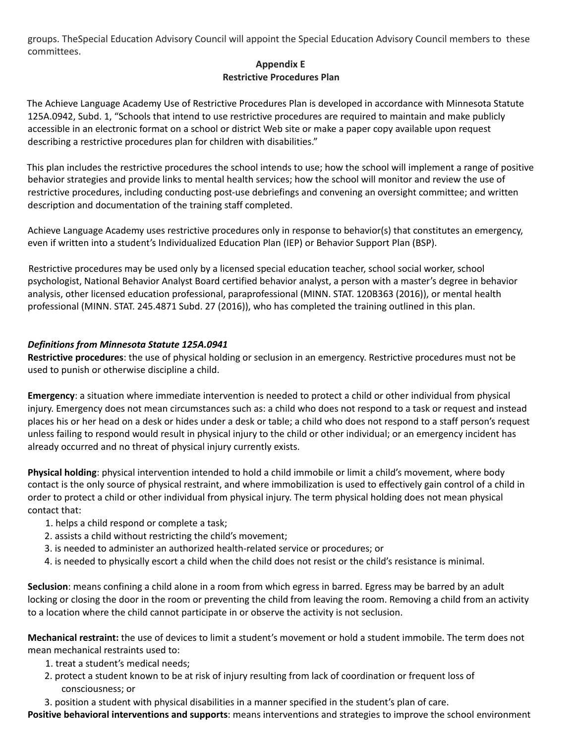groups. TheSpecial Education Advisory Council will appoint the Special Education Advisory Council members to these committees.

## **Appendix E Restrictive Procedures Plan**

The Achieve Language Academy Use of Restrictive Procedures Plan is developed in accordance with Minnesota Statute 125A.0942, Subd. 1, "Schools that intend to use restrictive procedures are required to maintain and make publicly accessible in an electronic format on a school or district Web site or make a paper copy available upon request describing a restrictive procedures plan for children with disabilities."

This plan includes the restrictive procedures the school intends to use; how the school will implement a range of positive behavior strategies and provide links to mental health services; how the school will monitor and review the use of restrictive procedures, including conducting post-use debriefings and convening an oversight committee; and written description and documentation of the training staff completed.

Achieve Language Academy uses restrictive procedures only in response to behavior(s) that constitutes an emergency, even if written into a student's Individualized Education Plan (IEP) or Behavior Support Plan (BSP).

Restrictive procedures may be used only by a licensed special education teacher, school social worker, school psychologist, National Behavior Analyst Board certified behavior analyst, a person with a master's degree in behavior analysis, other licensed education professional, paraprofessional (MINN. STAT. 120B363 (2016)), or mental health professional (MINN. STAT. 245.4871 Subd. 27 (2016)), who has completed the training outlined in this plan.

## *Definitions from Minnesota Statute 125A.0941*

**Restrictive procedures**: the use of physical holding or seclusion in an emergency. Restrictive procedures must not be used to punish or otherwise discipline a child.

**Emergency**: a situation where immediate intervention is needed to protect a child or other individual from physical injury. Emergency does not mean circumstances such as: a child who does not respond to a task or request and instead places his or her head on a desk or hides under a desk or table; a child who does not respond to a staff person's request unless failing to respond would result in physical injury to the child or other individual; or an emergency incident has already occurred and no threat of physical injury currently exists.

**Physical holding**: physical intervention intended to hold a child immobile or limit a child's movement, where body contact is the only source of physical restraint, and where immobilization is used to effectively gain control of a child in order to protect a child or other individual from physical injury. The term physical holding does not mean physical contact that:

- 1. helps a child respond or complete a task;
- 2. assists a child without restricting the child's movement;
- 3. is needed to administer an authorized health-related service or procedures; or
- 4. is needed to physically escort a child when the child does not resist or the child's resistance is minimal.

**Seclusion**: means confining a child alone in a room from which egress in barred. Egress may be barred by an adult locking or closing the door in the room or preventing the child from leaving the room. Removing a child from an activity to a location where the child cannot participate in or observe the activity is not seclusion.

**Mechanical restraint:** the use of devices to limit a student's movement or hold a student immobile. The term does not mean mechanical restraints used to:

- 1. treat a student's medical needs;
- 2. protect a student known to be at risk of injury resulting from lack of coordination or frequent loss of consciousness; or
- 3. position a student with physical disabilities in a manner specified in the student's plan of care.

**Positive behavioral interventions and supports**: means interventions and strategies to improve the school environment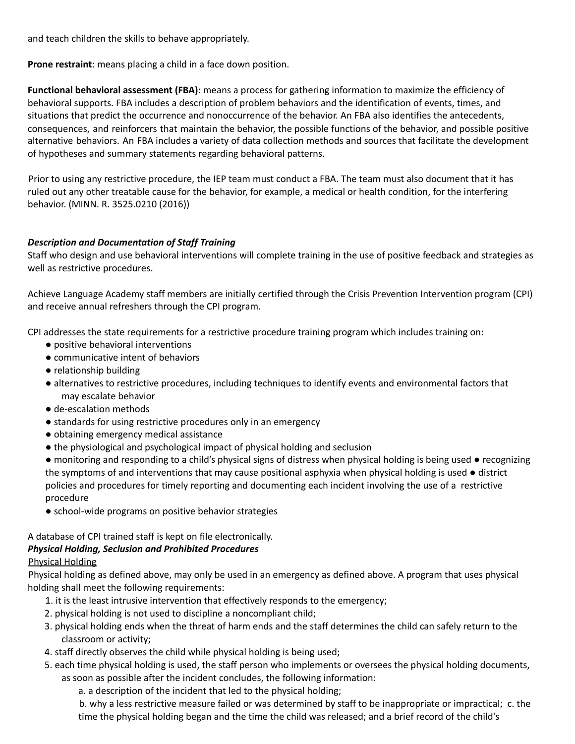and teach children the skills to behave appropriately.

**Prone restraint**: means placing a child in a face down position.

**Functional behavioral assessment (FBA)**: means a process for gathering information to maximize the efficiency of behavioral supports. FBA includes a description of problem behaviors and the identification of events, times, and situations that predict the occurrence and nonoccurrence of the behavior. An FBA also identifies the antecedents, consequences, and reinforcers that maintain the behavior, the possible functions of the behavior, and possible positive alternative behaviors. An FBA includes a variety of data collection methods and sources that facilitate the development of hypotheses and summary statements regarding behavioral patterns.

Prior to using any restrictive procedure, the IEP team must conduct a FBA. The team must also document that it has ruled out any other treatable cause for the behavior, for example, a medical or health condition, for the interfering behavior. (MINN. R. 3525.0210 (2016))

## *Description and Documentation of Staff Training*

Staff who design and use behavioral interventions will complete training in the use of positive feedback and strategies as well as restrictive procedures.

Achieve Language Academy staff members are initially certified through the Crisis Prevention Intervention program (CPI) and receive annual refreshers through the CPI program.

CPI addresses the state requirements for a restrictive procedure training program which includes training on:

- positive behavioral interventions
- communicative intent of behaviors
- relationship building
- alternatives to restrictive procedures, including techniques to identify events and environmental factors that may escalate behavior
- de-escalation methods
- standards for using restrictive procedures only in an emergency
- obtaining emergency medical assistance
- the physiological and psychological impact of physical holding and seclusion

● monitoring and responding to a child's physical signs of distress when physical holding is being used ● recognizing the symptoms of and interventions that may cause positional asphyxia when physical holding is used ● district policies and procedures for timely reporting and documenting each incident involving the use of a restrictive procedure

● school-wide programs on positive behavior strategies

## A database of CPI trained staff is kept on file electronically.

## *Physical Holding, Seclusion and Prohibited Procedures*

# Physical Holding

Physical holding as defined above, may only be used in an emergency as defined above. A program that uses physical holding shall meet the following requirements:

- 1. it is the least intrusive intervention that effectively responds to the emergency;
- 2. physical holding is not used to discipline a noncompliant child;
- 3. physical holding ends when the threat of harm ends and the staff determines the child can safely return to the classroom or activity;
- 4. staff directly observes the child while physical holding is being used;
- 5. each time physical holding is used, the staff person who implements or oversees the physical holding documents, as soon as possible after the incident concludes, the following information:
	- a. a description of the incident that led to the physical holding;

b. why a less restrictive measure failed or was determined by staff to be inappropriate or impractical; c. the time the physical holding began and the time the child was released; and a brief record of the child's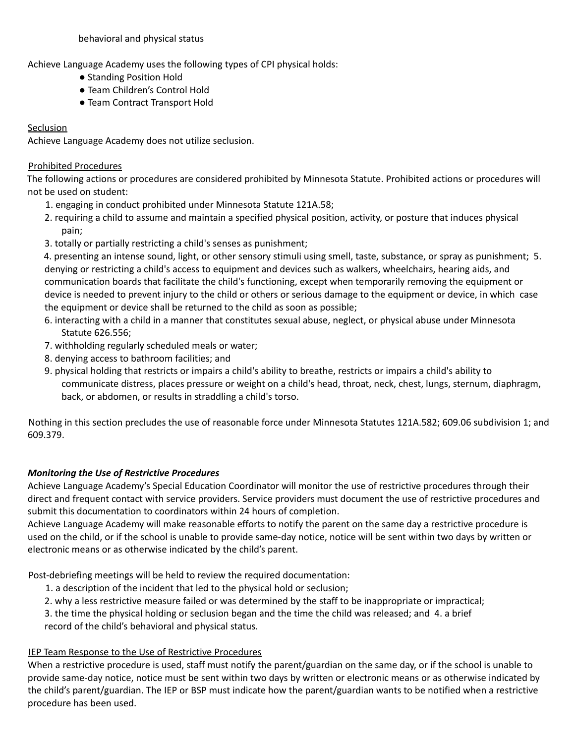behavioral and physical status

Achieve Language Academy uses the following types of CPI physical holds:

- Standing Position Hold
- Team Children's Control Hold
- Team Contract Transport Hold

## **Seclusion**

Achieve Language Academy does not utilize seclusion.

### Prohibited Procedures

The following actions or procedures are considered prohibited by Minnesota Statute. Prohibited actions or procedures will not be used on student:

- 1. engaging in conduct prohibited under Minnesota Statute 121A.58;
- 2. requiring a child to assume and maintain a specified physical position, activity, or posture that induces physical pain;
- 3. totally or partially restricting a child's senses as punishment;

4. presenting an intense sound, light, or other sensory stimuli using smell, taste, substance, or spray as punishment; 5. denying or restricting a child's access to equipment and devices such as walkers, wheelchairs, hearing aids, and communication boards that facilitate the child's functioning, except when temporarily removing the equipment or device is needed to prevent injury to the child or others or serious damage to the equipment or device, in which case the equipment or device shall be returned to the child as soon as possible;

- 6. interacting with a child in a manner that constitutes sexual abuse, neglect, or physical abuse under Minnesota Statute 626.556;
- 7. withholding regularly scheduled meals or water;
- 8. denying access to bathroom facilities; and
- 9. physical holding that restricts or impairs a child's ability to breathe, restricts or impairs a child's ability to communicate distress, places pressure or weight on a child's head, throat, neck, chest, lungs, sternum, diaphragm, back, or abdomen, or results in straddling a child's torso.

Nothing in this section precludes the use of reasonable force under Minnesota Statutes 121A.582; 609.06 subdivision 1; and 609.379.

## *Monitoring the Use of Restrictive Procedures*

Achieve Language Academy's Special Education Coordinator will monitor the use of restrictive procedures through their direct and frequent contact with service providers. Service providers must document the use of restrictive procedures and submit this documentation to coordinators within 24 hours of completion.

Achieve Language Academy will make reasonable efforts to notify the parent on the same day a restrictive procedure is used on the child, or if the school is unable to provide same-day notice, notice will be sent within two days by written or electronic means or as otherwise indicated by the child's parent.

Post-debriefing meetings will be held to review the required documentation:

- 1. a description of the incident that led to the physical hold or seclusion;
- 2. why a less restrictive measure failed or was determined by the staff to be inappropriate or impractical;
- 3. the time the physical holding or seclusion began and the time the child was released; and 4. a brief record of the child's behavioral and physical status.

## IEP Team Response to the Use of Restrictive Procedures

When a restrictive procedure is used, staff must notify the parent/guardian on the same day, or if the school is unable to provide same-day notice, notice must be sent within two days by written or electronic means or as otherwise indicated by the child's parent/guardian. The IEP or BSP must indicate how the parent/guardian wants to be notified when a restrictive procedure has been used.